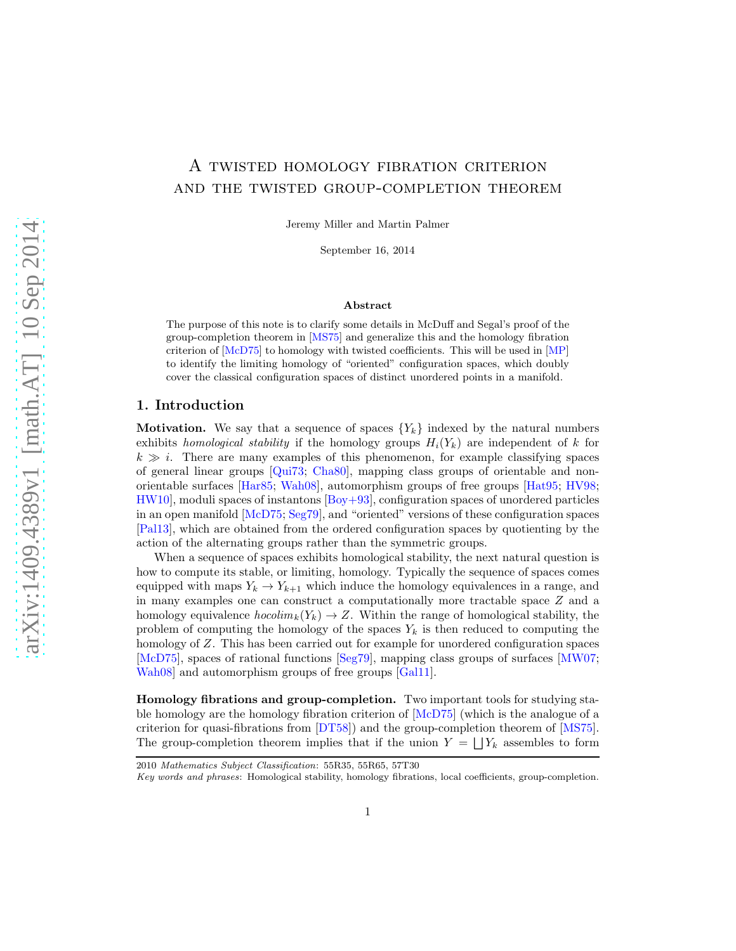# <span id="page-0-0"></span>A twisted homology fibration criterion and the twisted group-completion theorem

Jeremy Miller and Martin Palmer

September 16, 2014

#### Abstract

The purpose of this note is to clarify some details in McDuff and Segal's proof of the group-completion theorem in [\[MS75](#page-19-0)] and generalize this and the homology fibration criterion of [\[McD75\]](#page-19-1) to homology with twisted coefficients. This will be used in [\[MP](#page-19-2)] to identify the limiting homology of "oriented" configuration spaces, which doubly cover the classical configuration spaces of distinct unordered points in a manifold.

### 1. Introduction

**Motivation.** We say that a sequence of spaces  ${Y_k}$  indexed by the natural numbers exhibits homological stability if the homology groups  $H_i(Y_k)$  are independent of k for  $k \gg i$ . There are many examples of this phenomenon, for example classifying spaces of general linear groups  $[Qui73; Cha80]$  $[Qui73; Cha80]$  $[Qui73; Cha80]$ , mapping class groups of orientable and nonorientable surfaces [\[Har85](#page-19-3); [Wah08\]](#page-20-1), automorphism groups of free groups [\[Hat95;](#page-19-4) [HV98;](#page-19-5) [HW10](#page-19-6)], moduli spaces of instantons [\[Boy+93\]](#page-18-1), configuration spaces of unordered particles in an open manifold [\[McD75;](#page-19-1) [Seg79](#page-20-2)], and "oriented" versions of these configuration spaces [\[Pal13\]](#page-19-7), which are obtained from the ordered configuration spaces by quotienting by the action of the alternating groups rather than the symmetric groups.

When a sequence of spaces exhibits homological stability, the next natural question is how to compute its stable, or limiting, homology. Typically the sequence of spaces comes equipped with maps  $Y_k \to Y_{k+1}$  which induce the homology equivalences in a range, and in many examples one can construct a computationally more tractable space Z and a homology equivalence  $hocolim_k(Y_k) \to Z$ . Within the range of homological stability, the problem of computing the homology of the spaces  $Y_k$  is then reduced to computing the homology of Z. This has been carried out for example for unordered configuration spaces [\[McD75](#page-19-1)], spaces of rational functions [\[Seg79\]](#page-20-2), mapping class groups of surfaces [\[MW07;](#page-19-8) [Wah08](#page-20-1)] and automorphism groups of free groups [\[Gal11\]](#page-19-9).

Homology fibrations and group-completion. Two important tools for studying stable homology are the homology fibration criterion of [\[McD75\]](#page-19-1) (which is the analogue of a criterion for quasi-fibrations from [\[DT58\]](#page-18-2)) and the group-completion theorem of [\[MS75](#page-19-0)]. The group-completion theorem implies that if the union  $Y = \bigsqcup Y_k$  assembles to form

<sup>2010</sup> Mathematics Subject Classification: 55R35, 55R65, 57T30

Key words and phrases: Homological stability, homology fibrations, local coefficients, group-completion.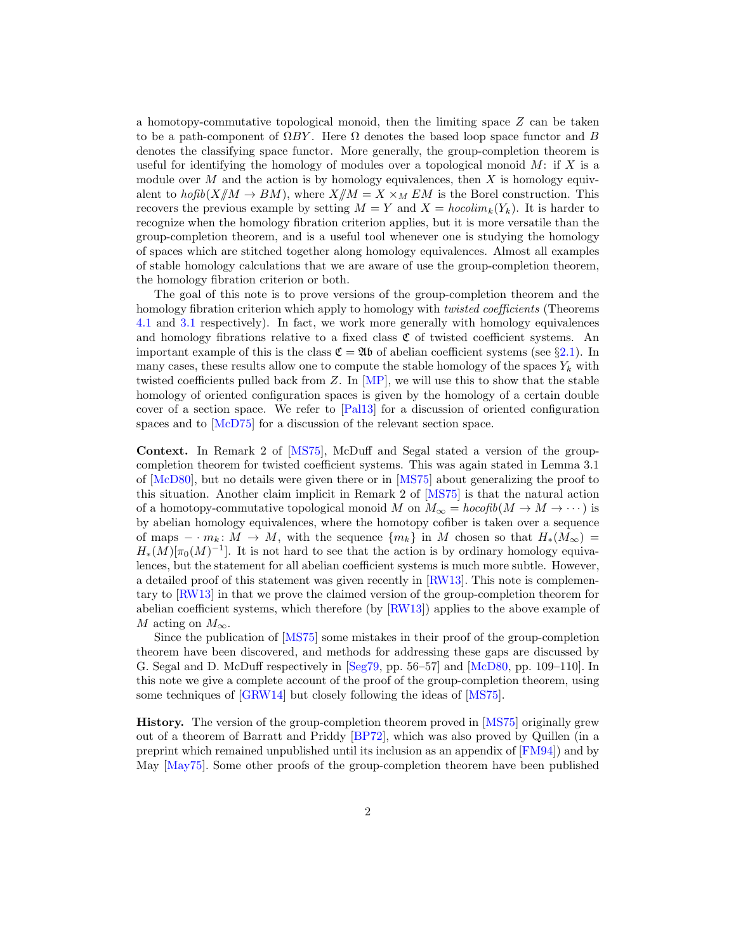<span id="page-1-0"></span>a homotopy-commutative topological monoid, then the limiting space  $Z$  can be taken to be a path-component of  $\Omega BY$ . Here  $\Omega$  denotes the based loop space functor and B denotes the classifying space functor. More generally, the group-completion theorem is useful for identifying the homology of modules over a topological monoid  $M$ : if  $X$  is a module over M and the action is by homology equivalences, then X is homology equivalent to  $hofib(X/M \to BM)$ , where  $X/M = X \times_M EM$  is the Borel construction. This recovers the previous example by setting  $M = Y$  and  $X = hocolim_k(Y_k)$ . It is harder to recognize when the homology fibration criterion applies, but it is more versatile than the group-completion theorem, and is a useful tool whenever one is studying the homology of spaces which are stitched together along homology equivalences. Almost all examples of stable homology calculations that we are aware of use the group-completion theorem, the homology fibration criterion or both.

The goal of this note is to prove versions of the group-completion theorem and the homology fibration criterion which apply to homology with *twisted coefficients* (Theorems [4.1](#page-12-0) and [3.1](#page-10-0) respectively). In fact, we work more generally with homology equivalences and homology fibrations relative to a fixed class  $C$  of twisted coefficient systems. An important example of this is the class  $\mathfrak{C} = \mathfrak{A} \mathfrak{b}$  of abelian coefficient systems (see §[2.1\)](#page-2-0). In many cases, these results allow one to compute the stable homology of the spaces  $Y_k$  with twisted coefficients pulled back from  $Z$ . In  $[MP]$ , we will use this to show that the stable homology of oriented configuration spaces is given by the homology of a certain double cover of a section space. We refer to [\[Pal13\]](#page-19-7) for a discussion of oriented configuration spaces and to [\[McD75](#page-19-1)] for a discussion of the relevant section space.

Context. In Remark 2 of [\[MS75\]](#page-19-0), McDuff and Segal stated a version of the groupcompletion theorem for twisted coefficient systems. This was again stated in Lemma 3.1 of [\[McD80\]](#page-19-10), but no details were given there or in [\[MS75](#page-19-0)] about generalizing the proof to this situation. Another claim implicit in Remark 2 of [\[MS75\]](#page-19-0) is that the natural action of a homotopy-commutative topological monoid M on  $M_{\infty} = \text{hocol}(\mathfrak{h}(M \to M \to \cdots))$  is by abelian homology equivalences, where the homotopy cofiber is taken over a sequence of maps  $-\cdot m_k: M \to M$ , with the sequence  $\{m_k\}$  in M chosen so that  $H_*(M_\infty)$  $H_*(M)[\pi_0(M)^{-1}]$ . It is not hard to see that the action is by ordinary homology equivalences, but the statement for all abelian coefficient systems is much more subtle. However, a detailed proof of this statement was given recently in [\[RW13\]](#page-20-3). This note is complementary to [\[RW13\]](#page-20-3) in that we prove the claimed version of the group-completion theorem for abelian coefficient systems, which therefore (by [\[RW13](#page-20-3)]) applies to the above example of M acting on  $M_{\infty}$ .

Since the publication of [\[MS75\]](#page-19-0) some mistakes in their proof of the group-completion theorem have been discovered, and methods for addressing these gaps are discussed by G. Segal and D. McDuff respectively in [\[Seg79,](#page-20-2) pp. 56–57] and [\[McD80,](#page-19-10) pp. 109–110]. In this note we give a complete account of the proof of the group-completion theorem, using some techniques of [\[GRW14\]](#page-19-11) but closely following the ideas of [\[MS75\]](#page-19-0).

History. The version of the group-completion theorem proved in [\[MS75\]](#page-19-0) originally grew out of a theorem of Barratt and Priddy [\[BP72](#page-18-3)], which was also proved by Quillen (in a preprint which remained unpublished until its inclusion as an appendix of [\[FM94](#page-19-12)]) and by May [\[May75](#page-19-13)]. Some other proofs of the group-completion theorem have been published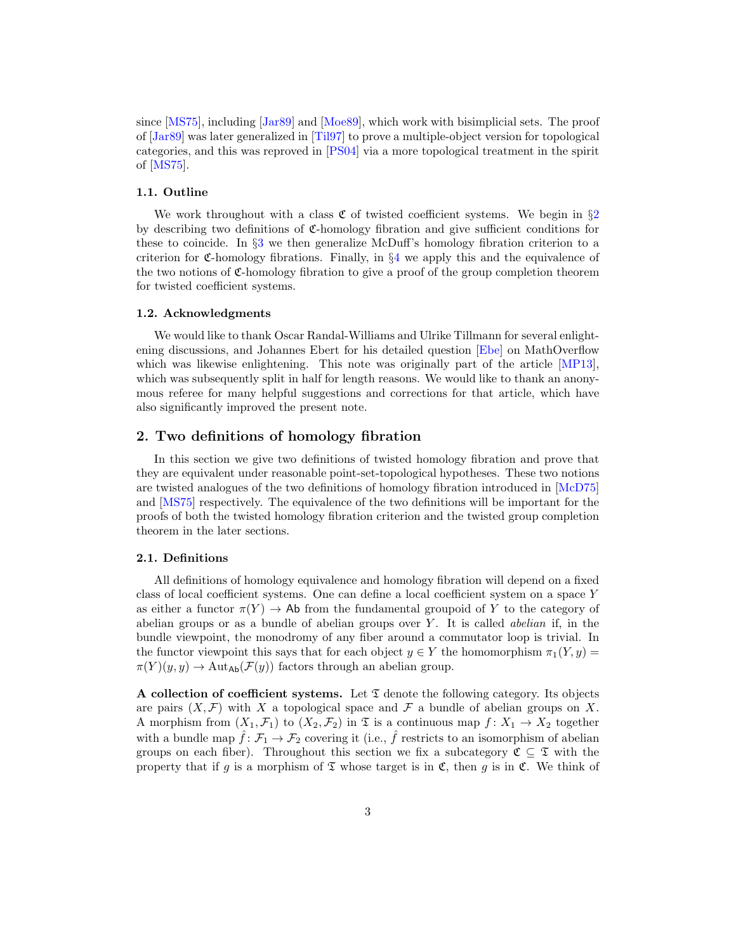<span id="page-2-2"></span>since [\[MS75\]](#page-19-0), including [\[Jar89\]](#page-19-14) and [\[Moe89](#page-19-15)], which work with bisimplicial sets. The proof of [\[Jar89](#page-19-14)] was later generalized in [\[Til97\]](#page-20-4) to prove a multiple-object version for topological categories, and this was reproved in [\[PS04](#page-19-16)] via a more topological treatment in the spirit of [\[MS75](#page-19-0)].

## 1.1. Outline

We work throughout with a class  $\mathfrak C$  of twisted coefficient systems. We begin in  $\S2$  $\S2$ by describing two definitions of C-homology fibration and give sufficient conditions for these to coincide. In §[3](#page-9-0) we then generalize McDuff's homology fibration criterion to a criterion for  $\mathfrak{C}$ -homology fibrations. Finally, in §[4](#page-11-0) we apply this and the equivalence of the two notions of  $\mathfrak{C}$ -homology fibration to give a proof of the group completion theorem for twisted coefficient systems.

#### 1.2. Acknowledgments

We would like to thank Oscar Randal-Williams and Ulrike Tillmann for several enlightening discussions, and Johannes Ebert for his detailed question [\[Ebe\]](#page-18-4) on MathOverflow which was likewise enlightening. This note was originally part of the article [\[MP13](#page-19-17)], which was subsequently split in half for length reasons. We would like to thank an anonymous referee for many helpful suggestions and corrections for that article, which have also significantly improved the present note.

## <span id="page-2-1"></span>2. Two definitions of homology fibration

In this section we give two definitions of twisted homology fibration and prove that they are equivalent under reasonable point-set-topological hypotheses. These two notions are twisted analogues of the two definitions of homology fibration introduced in [\[McD75\]](#page-19-1) and [\[MS75](#page-19-0)] respectively. The equivalence of the two definitions will be important for the proofs of both the twisted homology fibration criterion and the twisted group completion theorem in the later sections.

#### <span id="page-2-0"></span>2.1. Definitions

All definitions of homology equivalence and homology fibration will depend on a fixed class of local coefficient systems. One can define a local coefficient system on a space Y as either a functor  $\pi(Y) \to \mathsf{Ab}$  from the fundamental groupoid of Y to the category of abelian groups or as a bundle of abelian groups over  $Y$ . It is called *abelian* if, in the bundle viewpoint, the monodromy of any fiber around a commutator loop is trivial. In the functor viewpoint this says that for each object  $y \in Y$  the homomorphism  $\pi_1(Y, y) =$  $\pi(Y)(y, y) \to \text{Aut}_{\text{Ab}}(\mathcal{F}(y))$  factors through an abelian group.

A collection of coefficient systems. Let  $\mathfrak I$  denote the following category. Its objects are pairs  $(X, \mathcal{F})$  with X a topological space and  $\mathcal F$  a bundle of abelian groups on X. A morphism from  $(X_1, \mathcal{F}_1)$  to  $(X_2, \mathcal{F}_2)$  in  $\mathfrak T$  is a continuous map  $f: X_1 \to X_2$  together with a bundle map  $\hat{f} : \mathcal{F}_1 \to \mathcal{F}_2$  covering it (i.e.,  $\hat{f}$  restricts to an isomorphism of abelian groups on each fiber). Throughout this section we fix a subcategory  $\mathfrak{C} \subseteq \mathfrak{T}$  with the property that if g is a morphism of  $\mathfrak T$  whose target is in  $\mathfrak C$ , then g is in  $\mathfrak C$ . We think of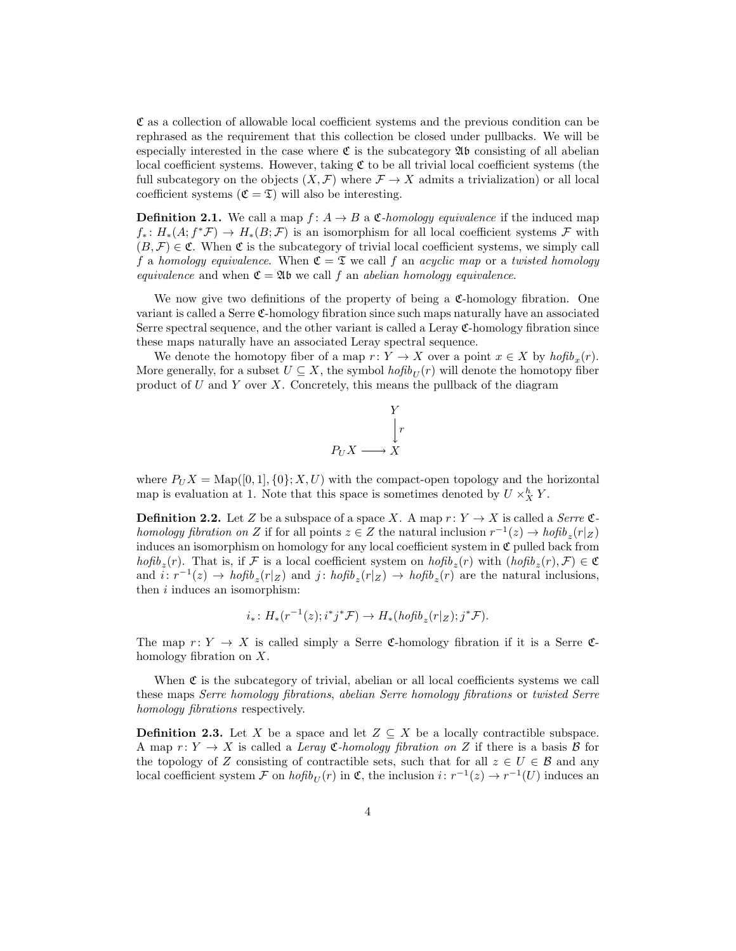C as a collection of allowable local coefficient systems and the previous condition can be rephrased as the requirement that this collection be closed under pullbacks. We will be especially interested in the case where  $\mathfrak C$  is the subcategory  $\mathfrak A$ b consisting of all abelian local coefficient systems. However, taking  $\mathfrak C$  to be all trivial local coefficient systems (the full subcategory on the objects  $(X, \mathcal{F})$  where  $\mathcal{F} \to X$  admits a trivialization) or all local coefficient systems  $(\mathfrak{C} = \mathfrak{T})$  will also be interesting.

<span id="page-3-0"></span>**Definition 2.1.** We call a map  $f: A \to B$  a  $\mathfrak{C}$ -homology equivalence if the induced map  $f_*: H_*(A; f^*\mathcal{F}) \to H_*(B; \mathcal{F})$  is an isomorphism for all local coefficient systems  $\mathcal F$  with  $(B, \mathcal{F}) \in \mathfrak{C}$ . When  $\mathfrak{C}$  is the subcategory of trivial local coefficient systems, we simply call f a homology equivalence. When  $\mathfrak{C} = \mathfrak{T}$  we call f an acyclic map or a twisted homology equivalence and when  $\mathfrak{C} = \mathfrak{A} \mathfrak{b}$  we call f an abelian homology equivalence.

We now give two definitions of the property of being a  $\mathfrak{C}\text{-homology}$  fibration. One variant is called a Serre C-homology fibration since such maps naturally have an associated Serre spectral sequence, and the other variant is called a Leray C-homology fibration since these maps naturally have an associated Leray spectral sequence.

We denote the homotopy fiber of a map  $r: Y \to X$  over a point  $x \in X$  by  $hofib_x(r)$ . More generally, for a subset  $U \subseteq X$ , the symbol  $hofib_{U}(r)$  will denote the homotopy fiber product of  $U$  and  $Y$  over  $X$ . Concretely, this means the pullback of the diagram

$$
P_U X \longrightarrow \begin{array}{c} Y \\ \downarrow r \\ X \end{array}
$$

where  $P_U X = \text{Map}([0, 1], \{0\}; X, U)$  with the compact-open topology and the horizontal map is evaluation at 1. Note that this space is sometimes denoted by  $U \times_X^h Y$ .

**Definition 2.2.** Let Z be a subspace of a space X. A map  $r: Y \to X$  is called a Serre  $\mathfrak{C}$ homology fibration on Z if for all points  $z \in Z$  the natural inclusion  $r^{-1}(z) \to h \circ f i b_z(r|z)$ induces an isomorphism on homology for any local coefficient system in  $\mathfrak C$  pulled back from  $hofib_z(r)$ . That is, if F is a local coefficient system on  $hofib_z(r)$  with  $(hofib_z(r), \mathcal{F}) \in \mathfrak{C}$ and  $i: r^{-1}(z) \to h \circ f i b_z(r|z)$  and  $j: h \circ f i b_z(r|z) \to h \circ f i b_z(r)$  are the natural inclusions, then  $i$  induces an isomorphism:

$$
i_*\colon H_*(r^{-1}(z);i^*j^*\mathcal{F})\to H_*(hofib_z(r|z);j^*\mathcal{F}).
$$

The map  $r: Y \to X$  is called simply a Serre C-homology fibration if it is a Serre Chomology fibration on X.

When  $\mathfrak C$  is the subcategory of trivial, abelian or all local coefficients systems we call these maps Serre homology fibrations, abelian Serre homology fibrations or twisted Serre homology fibrations respectively.

**Definition 2.3.** Let X be a space and let  $Z \subseteq X$  be a locally contractible subspace. A map  $r: Y \to X$  is called a Leray C-homology fibration on Z if there is a basis B for the topology of Z consisting of contractible sets, such that for all  $z \in U \in \mathcal{B}$  and any local coefficient system  $\mathcal F$  on  $hofib_U(r)$  in  $\mathfrak C$ , the inclusion  $i: r^{-1}(z) \to r^{-1}(U)$  induces an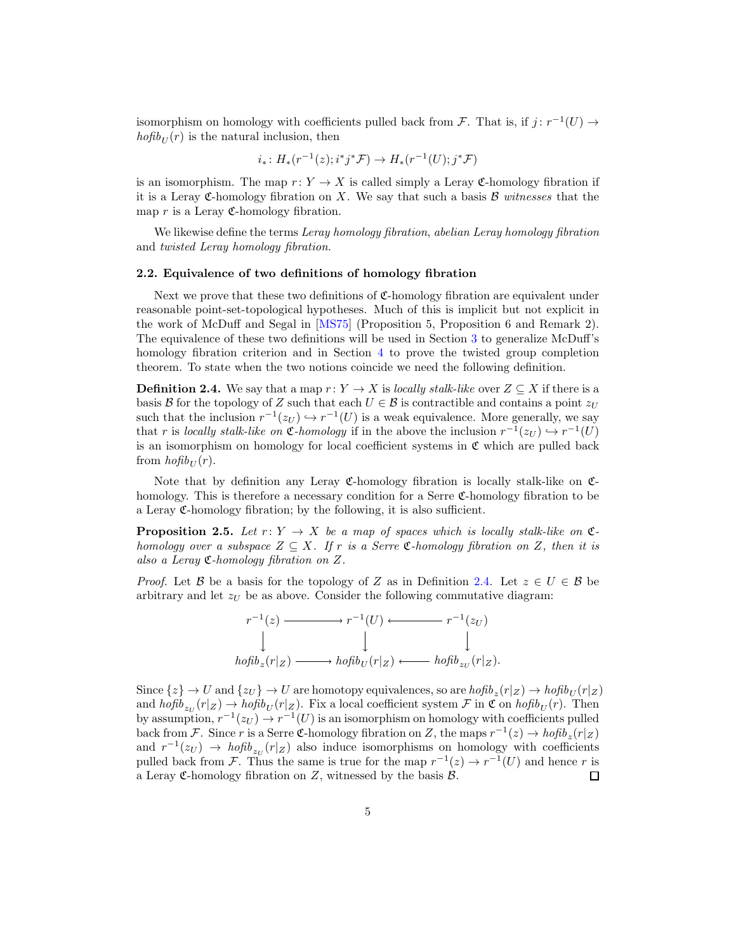<span id="page-4-2"></span>isomorphism on homology with coefficients pulled back from F. That is, if  $j : r^{-1}(U) \to$  $hofib_{U}(r)$  is the natural inclusion, then

$$
i_*\colon H_*(r^{-1}(z);i^*j^*\mathcal{F})\to H_*(r^{-1}(U);j^*\mathcal{F})
$$

is an isomorphism. The map  $r: Y \to X$  is called simply a Leray C-homology fibration if it is a Leray C-homology fibration on  $X$ . We say that such a basis  $\mathcal B$  witnesses that the map  $r$  is a Leray  $\mathfrak{C}$ -homology fibration.

We likewise define the terms Leray homology fibration, abelian Leray homology fibration and twisted Leray homology fibration.

#### 2.2. Equivalence of two definitions of homology fibration

Next we prove that these two definitions of C-homology fibration are equivalent under reasonable point-set-topological hypotheses. Much of this is implicit but not explicit in the work of McDuff and Segal in [\[MS75](#page-19-0)] (Proposition 5, Proposition 6 and Remark 2). The equivalence of these two definitions will be used in Section [3](#page-9-0) to generalize McDuff's homology fibration criterion and in Section [4](#page-11-0) to prove the twisted group completion theorem. To state when the two notions coincide we need the following definition.

<span id="page-4-0"></span>**Definition 2.4.** We say that a map  $r: Y \to X$  is locally stalk-like over  $Z \subseteq X$  if there is a basis B for the topology of Z such that each  $U \in \mathcal{B}$  is contractible and contains a point  $z_U$ such that the inclusion  $r^{-1}(z_U) \hookrightarrow r^{-1}(U)$  is a weak equivalence. More generally, we say that r is locally stalk-like on  $\mathfrak{C}$ -homology if in the above the inclusion  $r^{-1}(z_U) \hookrightarrow r^{-1}(U)$ is an isomorphism on homology for local coefficient systems in  $\mathfrak C$  which are pulled back from  $hofib_U(r)$ .

Note that by definition any Leray  $\mathfrak{C}$ -homology fibration is locally stalk-like on  $\mathfrak{C}$ homology. This is therefore a necessary condition for a Serre C-homology fibration to be a Leray  $\mathfrak{C}$ -homology fibration; by the following, it is also sufficient.

<span id="page-4-1"></span>**Proposition 2.5.** Let  $r: Y \to X$  be a map of spaces which is locally stalk-like on  $\mathfrak{C}$ homology over a subspace  $Z \subseteq X$ . If r is a Serre C-homology fibration on Z, then it is also a Leray C-homology fibration on Z.

*Proof.* Let B be a basis for the topology of Z as in Definition [2.4.](#page-4-0) Let  $z \in U \in \mathcal{B}$  be arbitrary and let  $z_U$  be as above. Consider the following commutative diagram:



Since  $\{z\} \to U$  and  $\{z_U\} \to U$  are homotopy equivalences, so are  $hofib_z(r|_Z) \to hofib_U(r|_Z)$ and  $hofib_{z_U}(r|_Z) \to hofib_U(r|_Z)$ . Fix a local coefficient system  $\mathcal F$  in  $\mathfrak C$  on  $hofib_U(r)$ . Then by assumption,  $r^{-1}(z_U) \to r^{-1}(U)$  is an isomorphism on homology with coefficients pulled back from F. Since r is a Serre C-homology fibration on Z, the maps  $r^{-1}(z) \to h \circ f i b_z(r|z)$ and  $r^{-1}(z_U) \to h \circ f b_{z_U}(r|z)$  also induce isomorphisms on homology with coefficients pulled back from F. Thus the same is true for the map  $r^{-1}(z) \to r^{-1}(U)$  and hence r is a Leray C-homology fibration on Z, witnessed by the basis  $\mathcal{B}$ . □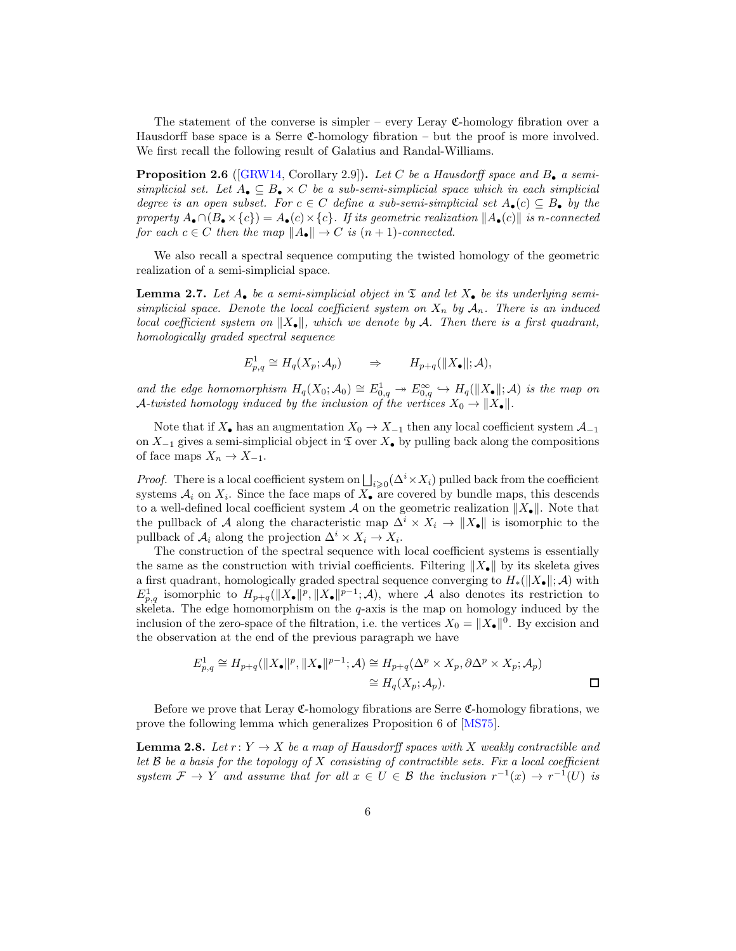<span id="page-5-3"></span>The statement of the converse is simpler – every Leray  $\mathfrak{C}$ -homology fibration over a Hausdorff base space is a Serre  $\mathfrak{C}$ -homology fibration – but the proof is more involved. We first recall the following result of Galatius and Randal-Williams.

<span id="page-5-0"></span>**Proposition 2.6** ([\[GRW14](#page-19-11), Corollary 2.9]). Let C be a Hausdorff space and  $B_{\bullet}$  a semisimplicial set. Let  $A_{\bullet} \subseteq B_{\bullet} \times C$  be a sub-semi-simplicial space which in each simplicial degree is an open subset. For  $c \in C$  define a sub-semi-simplicial set  $A_{\bullet}(c) \subseteq B_{\bullet}$  by the property  $A_{\bullet} \cap (B_{\bullet} \times \{c\}) = A_{\bullet}(c) \times \{c\}$ . If its geometric realization  $||A_{\bullet}(c)||$  is n-connected for each  $c \in C$  then the map  $||A_{\bullet}|| \to C$  is  $(n+1)$ -connected.

We also recall a spectral sequence computing the twisted homology of the geometric realization of a semi-simplicial space.

<span id="page-5-1"></span>**Lemma 2.7.** Let  $A_{\bullet}$  be a semi-simplicial object in  $\mathfrak{T}$  and let  $X_{\bullet}$  be its underlying semisimplicial space. Denote the local coefficient system on  $X_n$  by  $A_n$ . There is an induced local coefficient system on  $||X_{\bullet}||$ , which we denote by A. Then there is a first quadrant, homologically graded spectral sequence

$$
E_{p,q}^1 \cong H_q(X_p; \mathcal{A}_p) \qquad \Rightarrow \qquad H_{p+q}(\|X_{\bullet}\|; \mathcal{A}),
$$

and the edge homomorphism  $H_q(X_0; \mathcal{A}_0) \cong E^1_{0,q} \to E^{\infty}_{0,q} \hookrightarrow H_q(\parallel X_{\bullet} \parallel; \mathcal{A})$  is the map on A-twisted homology induced by the inclusion of the vertices  $X_0 \to \|X_\bullet\|.$ 

Note that if  $X_{\bullet}$  has an augmentation  $X_0 \to X_{-1}$  then any local coefficient system  $\mathcal{A}_{-1}$ on  $X_{-1}$  gives a semi-simplicial object in  $\mathfrak T$  over  $X_{\bullet}$  by pulling back along the compositions of face maps  $X_n \to X_{-1}$ .

*Proof.* There is a local coefficient system on  $\bigsqcup_{i\geqslant 0} (\Delta^i \times X_i)$  pulled back from the coefficient systems  $A_i$  on  $X_i$ . Since the face maps of  $X_{\bullet}$  are covered by bundle maps, this descends to a well-defined local coefficient system A on the geometric realization  $||X_{\bullet}||$ . Note that the pullback of A along the characteristic map  $\Delta^i \times X_i \to ||X_{\bullet}||$  is isomorphic to the pullback of  $A_i$  along the projection  $\Delta^i \times X_i \to X_i$ .

The construction of the spectral sequence with local coefficient systems is essentially the same as the construction with trivial coefficients. Filtering  $||X_{\bullet}||$  by its skeleta gives a first quadrant, homologically graded spectral sequence converging to  $H_*(\|X_{\bullet}\|; \mathcal{A})$  with  $E_{p,q}^1$  isomorphic to  $H_{p+q}(\|X_{\bullet}\|^p, \|X_{\bullet}\|^{p-1}; A)$ , where A also denotes its restriction to skeleta. The edge homomorphism on the  $q$ -axis is the map on homology induced by the inclusion of the zero-space of the filtration, i.e. the vertices  $X_0 = ||X_{\bullet}||^0$ . By excision and the observation at the end of the previous paragraph we have

$$
E_{p,q}^1 \cong H_{p+q}(\|X_{\bullet}\|^p, \|X_{\bullet}\|^{p-1}; \mathcal{A}) \cong H_{p+q}(\Delta^p \times X_p, \partial \Delta^p \times X_p; \mathcal{A}_p)
$$
  

$$
\cong H_q(X_p; \mathcal{A}_p).
$$

Before we prove that Leray  $\mathfrak{C}\text{-homology}$  fibrations are Serre  $\mathfrak{C}\text{-homology}$  fibrations, we prove the following lemma which generalizes Proposition 6 of [\[MS75\]](#page-19-0).

<span id="page-5-2"></span>**Lemma 2.8.** Let  $r: Y \to X$  be a map of Hausdorff spaces with X weakly contractible and let  $\mathcal B$  be a basis for the topology of X consisting of contractible sets. Fix a local coefficient system  $\mathcal{F} \to Y$  and assume that for all  $x \in U \in \mathcal{B}$  the inclusion  $r^{-1}(x) \to r^{-1}(U)$  is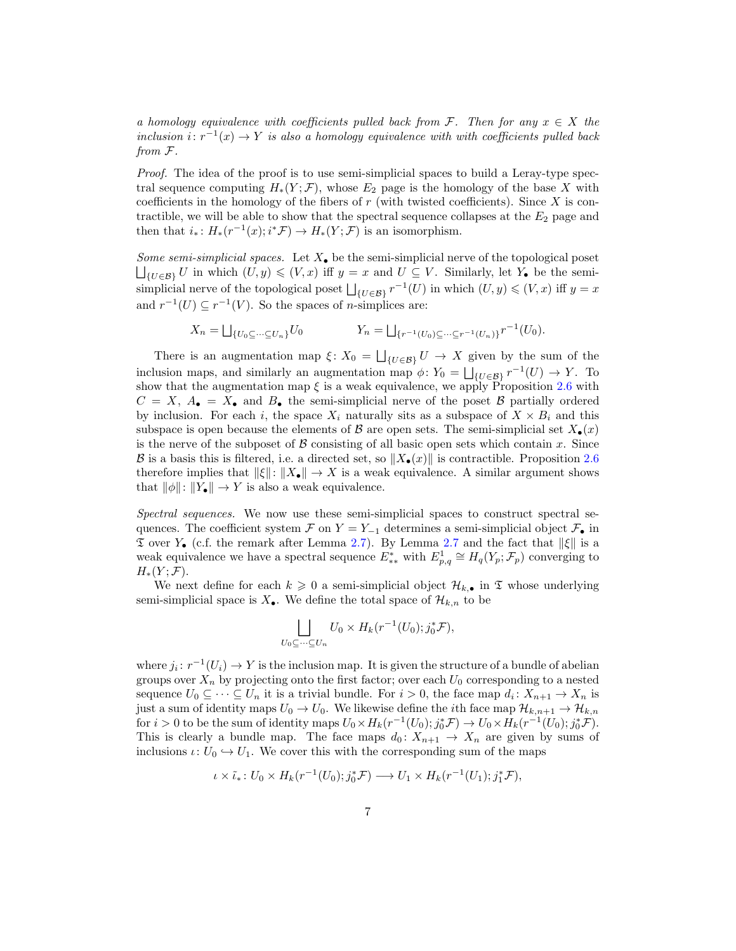a homology equivalence with coefficients pulled back from F. Then for any  $x \in X$  the inclusion  $i: r^{-1}(x) \to Y$  is also a homology equivalence with with coefficients pulled back from F.

Proof. The idea of the proof is to use semi-simplicial spaces to build a Leray-type spectral sequence computing  $H_*(Y; \mathcal{F})$ , whose  $E_2$  page is the homology of the base X with coefficients in the homology of the fibers of  $r$  (with twisted coefficients). Since  $X$  is contractible, we will be able to show that the spectral sequence collapses at the  $E_2$  page and then that  $i_*: H_*(r^{-1}(x); i^*\mathcal{F}) \to H_*(Y;\mathcal{F})$  is an isomorphism.

Some semi-simplicial spaces. Let  $X_{\bullet}$  be the semi-simplicial nerve of the topological poset  $\bigsqcup_{\{U\in\mathcal{B}\}} U$  in which  $(U, y) \leqslant (V, x)$  iff  $y = x$  and  $U \subseteq V$ . Similarly, let  $Y_{\bullet}$  be the semisimplicial nerve of the topological poset  $\bigsqcup_{\{U\in\mathcal{B}\}} r^{-1}(U)$  in which  $(U, y) \leqslant (V, x)$  iff  $y = x$ and  $r^{-1}(U) \subseteq r^{-1}(V)$ . So the spaces of *n*-simplices are:

$$
X_n = \bigsqcup_{\{U_0 \subseteq \dots \subseteq U_n\}} U_0 \qquad \qquad Y_n = \bigsqcup_{\{r^{-1}(U_0) \subseteq \dots \subseteq r^{-1}(U_n)\}} r^{-1}(U_0).
$$

There is an augmentation map  $\xi: X_0 = \bigsqcup_{\{U \in \mathcal{B}\}} U \to X$  given by the sum of the inclusion maps, and similarly an augmentation map  $\phi: Y_0 = \bigsqcup_{\{U \in \mathcal{B}\}} r^{-1}(U) \to Y$ . To show that the augmentation map  $\xi$  is a weak equivalence, we apply Proposition [2.6](#page-5-0) with  $C = X$ ,  $A_{\bullet} = X_{\bullet}$  and  $B_{\bullet}$  the semi-simplicial nerve of the poset B partially ordered by inclusion. For each i, the space  $X_i$  naturally sits as a subspace of  $X \times B_i$  and this subspace is open because the elements of B are open sets. The semi-simplicial set  $X_{\bullet}(x)$ is the nerve of the subposet of  $\beta$  consisting of all basic open sets which contain x. Since B is a basis this is filtered, i.e. a directed set, so  $||X_{\bullet}(x)||$  is contractible. Proposition [2.6](#page-5-0) therefore implies that  $\|\xi\|: \|X_{\bullet}\| \to X$  is a weak equivalence. A similar argument shows that  $\|\phi\|: \|Y_{\bullet}\| \to Y$  is also a weak equivalence.

Spectral sequences. We now use these semi-simplicial spaces to construct spectral sequences. The coefficient system F on  $Y = Y_{-1}$  determines a semi-simplicial object  $\mathcal{F}_\bullet$  in  $\mathfrak T$  over  $Y_{\bullet}$  (c.f. the remark after Lemma [2.7\)](#page-5-1). By Lemma [2.7](#page-5-1) and the fact that  $\|\xi\|$  is a weak equivalence we have a spectral sequence  $E_{**}^*$  with  $E_{p,q}^1 \cong H_q(Y_p; \mathcal{F}_p)$  converging to  $H_*(Y; \mathcal{F}).$ 

We next define for each  $k \geq 0$  a semi-simplicial object  $\mathcal{H}_{k,\bullet}$  in  $\mathfrak T$  whose underlying semi-simplicial space is  $X_{\bullet}$ . We define the total space of  $\mathcal{H}_{k,n}$  to be

$$
\bigsqcup_{U_0 \subseteq \dots \subseteq U_n} U_0 \times H_k(r^{-1}(U_0); j_0^* \mathcal{F}),
$$

where  $j_i: r^{-1}(U_i) \to Y$  is the inclusion map. It is given the structure of a bundle of abelian groups over  $X_n$  by projecting onto the first factor; over each  $U_0$  corresponding to a nested sequence  $U_0 \subseteq \cdots \subseteq U_n$  it is a trivial bundle. For  $i > 0$ , the face map  $d_i \colon X_{n+1} \to X_n$  is just a sum of identity maps  $U_0 \to U_0$ . We likewise define the *i*th face map  $\mathcal{H}_{k,n+1} \to \mathcal{H}_{k,n}$ for  $i > 0$  to be the sum of identity maps  $U_0 \times H_k(r^{-1}(U_0); j_0^* \mathcal{F}) \to U_0 \times H_k(r^{-1}(U_0); j_0^* \mathcal{F}).$ This is clearly a bundle map. The face maps  $d_0: X_{n+1} \to X_n$  are given by sums of inclusions  $\iota: U_0 \hookrightarrow U_1$ . We cover this with the corresponding sum of the maps

$$
\iota \times \tilde{\iota}_* \colon U_0 \times H_k(r^{-1}(U_0); j_0^* \mathcal{F}) \longrightarrow U_1 \times H_k(r^{-1}(U_1); j_1^* \mathcal{F}),
$$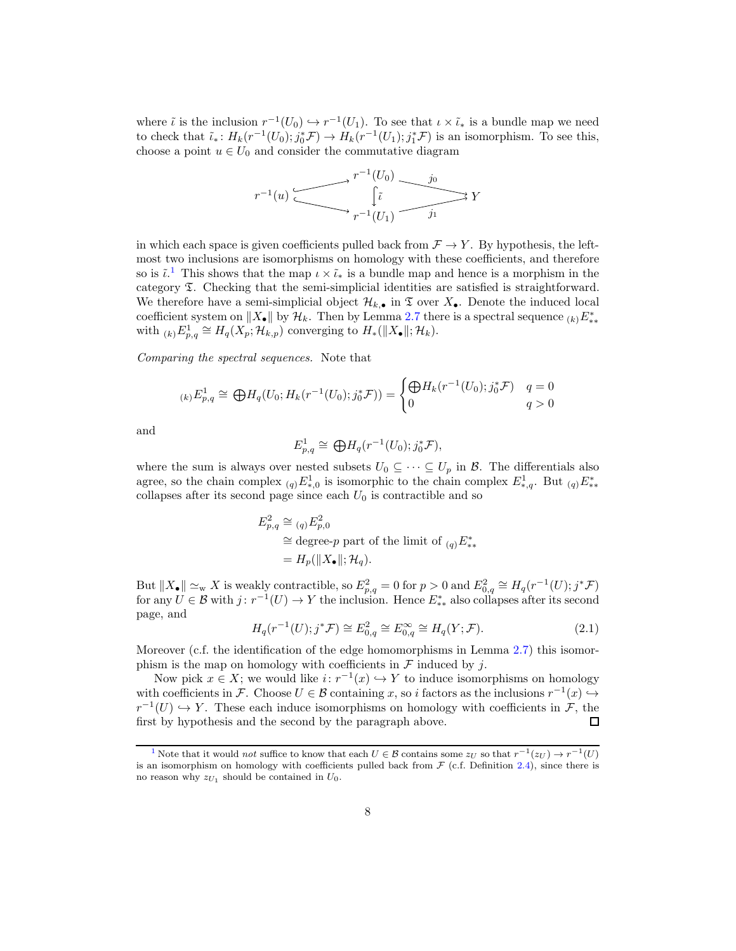where  $\tilde{\iota}$  is the inclusion  $r^{-1}(U_0) \hookrightarrow r^{-1}(U_1)$ . To see that  $\iota \times \tilde{\iota}_*$  is a bundle map we need to check that  $\tilde{\iota}_*$ :  $H_k(r^{-1}(U_0); j_0^* \mathcal{F}) \to H_k(r^{-1}(U_1); j_1^* \mathcal{F})$  is an isomorphism. To see this, choose a point  $u \in U_0$  and consider the commutative diagram



<span id="page-7-1"></span>in which each space is given coefficients pulled back from  $\mathcal{F} \to Y$ . By hypothesis, the leftmost two inclusions are isomorphisms on homology with these coefficients, and therefore so is  $\tilde{\iota}$ .<sup>[1](#page-7-0)</sup> This shows that the map  $\iota \times \tilde{\iota}_*$  is a bundle map and hence is a morphism in the category T. Checking that the semi-simplicial identities are satisfied is straightforward. We therefore have a semi-simplicial object  $\mathcal{H}_{k,\bullet}$  in  $\mathfrak T$  over  $X_{\bullet}$ . Denote the induced local coefficient system on  $||X_{\bullet}||$  by  $\mathcal{H}_k$ . Then by Lemma [2.7](#page-5-1) there is a spectral sequence  $(k)E_{**}^*$ with  $_{(k)}E_{p,q}^1 \cong H_q(X_p; \mathcal{H}_{k,p})$  converging to  $H_*(\|X_{\bullet}\|; \mathcal{H}_k)$ .

Comparing the spectral sequences. Note that

$$
\mu_{p,q} \cong \bigoplus H_q(U_0; H_k(r^{-1}(U_0); j_0^* \mathcal{F})) = \begin{cases} \bigoplus H_k(r^{-1}(U_0); j_0^* \mathcal{F}) & q = 0\\ 0 & q > 0 \end{cases}
$$

and

$$
E_{p,q}^1 \cong \bigoplus H_q(r^{-1}(U_0); j_0^* \mathcal{F}),
$$

where the sum is always over nested subsets  $U_0 \subseteq \cdots \subseteq U_p$  in  $\mathcal{B}$ . The differentials also agree, so the chain complex  $_{(q)}E^1_{*,0}$  is isomorphic to the chain complex  $E^1_{*,q}$ . But  $_{(q)}E^*_{**}$ collapses after its second page since each  $U_0$  is contractible and so

$$
E_{p,q}^2 \cong \underset{(q)}{=} E_{p,0}^2
$$
  
\n
$$
\cong \text{degree-}p \text{ part of the limit of } \underset{(q)}{=} E_{**}^*
$$
  
\n
$$
= H_p(\|X_{\bullet}\|; \mathcal{H}_q).
$$

But  $||X_{\bullet}|| \simeq_{\text{w}} X$  is weakly contractible, so  $E_{p,q}^2 = 0$  for  $p > 0$  and  $E_{0,q}^2 \cong H_q(r^{-1}(U); j^* \mathcal{F})$ for any  $U \in \mathcal{B}$  with  $j: r^{-1}(U) \to Y$  the inclusion. Hence  $E^*_{**}$  also collapses after its second page, and

$$
H_q(r^{-1}(U); j^* \mathcal{F}) \cong E_{0,q}^2 \cong E_{0,q}^{\infty} \cong H_q(Y; \mathcal{F}).
$$
\n(2.1)

Moreover (c.f. the identification of the edge homomorphisms in Lemma [2.7\)](#page-5-1) this isomorphism is the map on homology with coefficients in  $\mathcal F$  induced by j.

Now pick  $x \in X$ ; we would like  $i: r^{-1}(x) \hookrightarrow Y$  to induce isomorphisms on homology with coefficients in F. Choose  $U \in \mathcal{B}$  containing x, so i factors as the inclusions  $r^{-1}(x) \hookrightarrow$  $r^{-1}(U) \hookrightarrow Y$ . These each induce isomorphisms on homology with coefficients in F, the first by hypothesis and the second by the paragraph above. П

<span id="page-7-0"></span><sup>&</sup>lt;sup>[1](#page-7-1)</sup> Note that it would *not* suffice to know that each  $U \in \mathcal{B}$  contains some  $z_U$  so that  $r^{-1}(z_U) \to r^{-1}(U)$ is an isomorphism on homology with coefficients pulled back from  $F$  (c.f. Definition [2.4\)](#page-4-0), since there is no reason why  $z_{U_1}$  should be contained in  $U_0$ .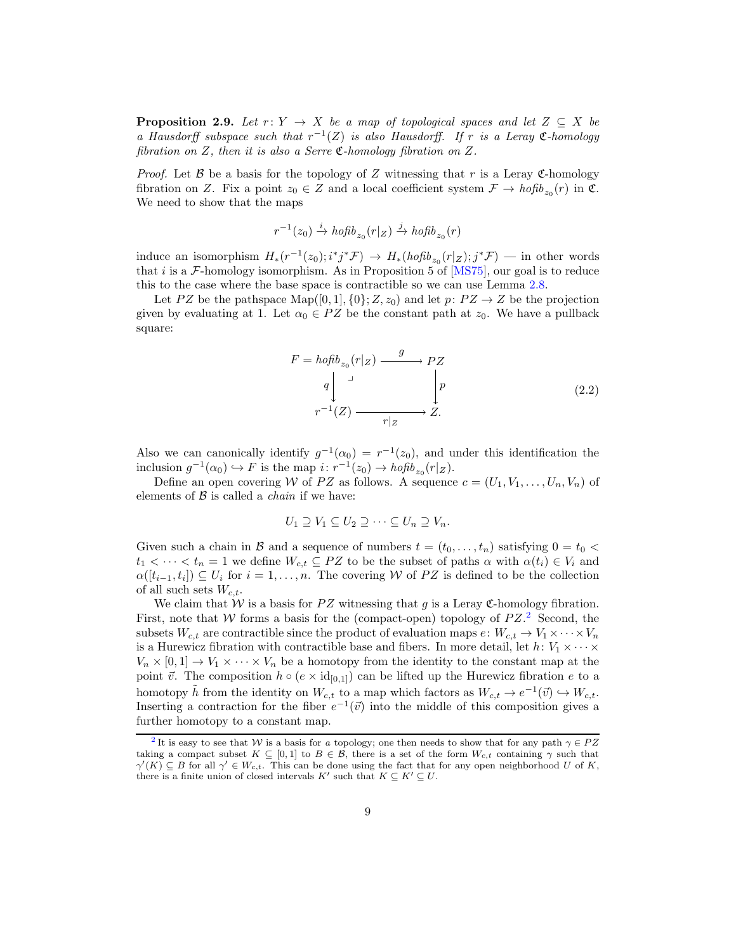<span id="page-8-4"></span><span id="page-8-3"></span>**Proposition 2.9.** Let  $r: Y \rightarrow X$  be a map of topological spaces and let  $Z \subseteq X$  be a Hausdorff subspace such that  $r^{-1}(Z)$  is also Hausdorff. If r is a Leray  $\mathfrak{C}\text{-}homology$ fibration on  $Z$ , then it is also a Serre  $\mathfrak{C}\text{-}homology$  fibration on  $Z$ .

*Proof.* Let B be a basis for the topology of Z witnessing that r is a Leray C-homology fibration on Z. Fix a point  $z_0 \in Z$  and a local coefficient system  $\mathcal{F} \to \text{hofib}_{z_0}(r)$  in  $\mathfrak{C}$ . We need to show that the maps

$$
r^{-1}(z_0) \xrightarrow{i} \operatorname{hofib}_{z_0}(r|_Z) \xrightarrow{j} \operatorname{hofib}_{z_0}(r)
$$

induce an isomorphism  $H_*(r^{-1}(z_0); i^*j^*\mathcal{F}) \to H_*(hofib_{z_0}(r|_Z); j^*\mathcal{F})$  — in other words that i is a  $\mathcal{F}\text{-homology isomorphism.}$  As in Proposition 5 of [\[MS75](#page-19-0)], our goal is to reduce this to the case where the base space is contractible so we can use Lemma [2.8.](#page-5-2)

Let PZ be the pathspace Map([0, 1], {0};  $Z$ ,  $z_0$ ) and let  $p: PZ \rightarrow Z$  be the projection given by evaluating at 1. Let  $\alpha_0 \in PZ$  be the constant path at  $z_0$ . We have a pullback square:

$$
F = hofib_{z_0}(r|z) \xrightarrow{g} PZ
$$
  
\n
$$
q \downarrow \qquad \qquad p
$$
  
\n
$$
r^{-1}(Z) \xrightarrow{r|z} Z.
$$
\n(2.2)

<span id="page-8-2"></span>Also we can canonically identify  $g^{-1}(\alpha_0) = r^{-1}(z_0)$ , and under this identification the inclusion  $g^{-1}(\alpha_0) \hookrightarrow F$  is the map  $i: r^{-1}(z_0) \rightarrow hofib_{z_0}(r|z)$ .

Define an open covering W of PZ as follows. A sequence  $c = (U_1, V_1, \ldots, U_n, V_n)$  of elements of  $\beta$  is called a *chain* if we have:

<span id="page-8-1"></span>
$$
U_1 \supseteq V_1 \subseteq U_2 \supseteq \cdots \subseteq U_n \supseteq V_n.
$$

Given such a chain in B and a sequence of numbers  $t = (t_0, \ldots, t_n)$  satisfying  $0 = t_0$  $t_1 < \cdots < t_n = 1$  we define  $W_{c,t} \subseteq PZ$  to be the subset of paths  $\alpha$  with  $\alpha(t_i) \in V_i$  and  $\alpha([t_{i-1}, t_i]) \subseteq U_i$  for  $i = 1, \ldots, n$ . The covering W of PZ is defined to be the collection of all such sets  $W_{c,t}$ .

We claim that W is a basis for PZ witnessing that g is a Leray C-homology fibration. First, note that W forms a basis for the (compact-open) topology of  $PZ$ <sup>[2](#page-8-0)</sup>. Second, the subsets  $W_{c,t}$  are contractible since the product of evaluation maps  $e: W_{c,t} \to V_1 \times \cdots \times V_n$ is a Hurewicz fibration with contractible base and fibers. In more detail, let  $h: V_1 \times \cdots \times$  $V_n \times [0,1] \to V_1 \times \cdots \times V_n$  be a homotopy from the identity to the constant map at the point  $\vec{v}$ . The composition  $h \circ (e \times id_{[0,1]})$  can be lifted up the Hurewicz fibration e to a homotopy  $\tilde{h}$  from the identity on  $W_{c,t}$  to a map which factors as  $W_{c,t} \to e^{-1}(\vec{v}) \hookrightarrow W_{c,t}$ . Inserting a contraction for the fiber  $e^{-1}(\vec{v})$  into the middle of this composition gives a further homotopy to a constant map.

<span id="page-8-0"></span><sup>&</sup>lt;sup>[2](#page-8-1)</sup>It is easy to see that W is a basis for a topology; one then needs to show that for any path  $\gamma \in PZ$ taking a compact subset  $K \subseteq [0,1]$  to  $B \in \mathcal{B}$ , there is a set of the form  $W_{c,t}$  containing  $\gamma$  such that  $\gamma'(K) \subseteq B$  for all  $\gamma' \in W_{c,t}$ . This can be done using the fact that for any open neighborhood U of K, there is a finite union of closed intervals  $K'$  such that  $K \subseteq K' \subseteq U$ .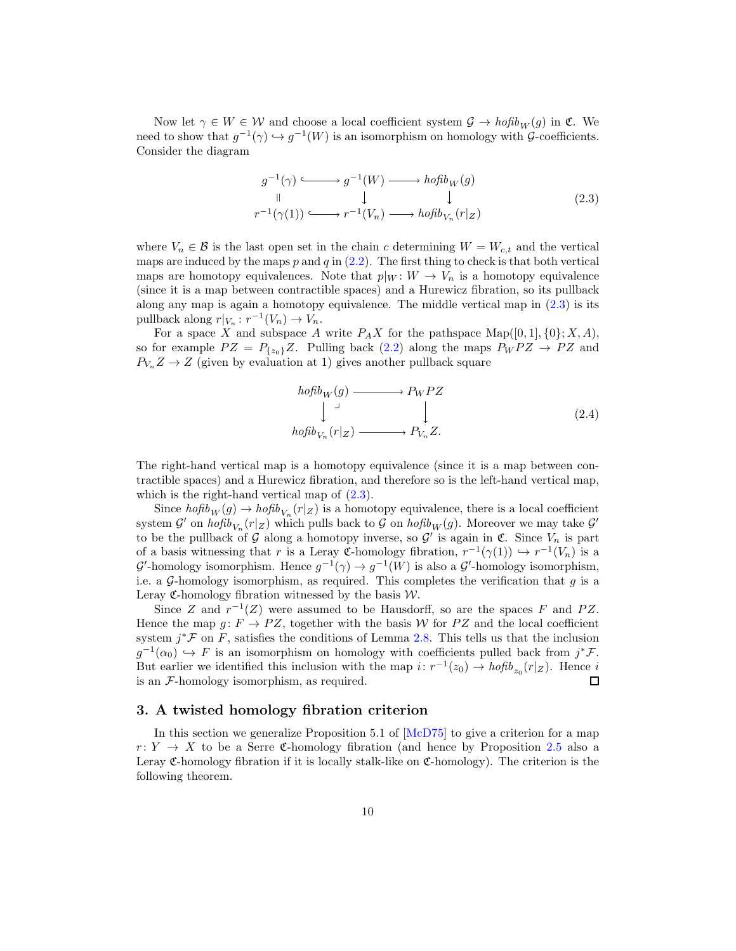<span id="page-9-2"></span>Now let  $\gamma \in W \in \mathcal{W}$  and choose a local coefficient system  $\mathcal{G} \to \text{hofib}_W(g)$  in  $\mathfrak{C}$ . We need to show that  $g^{-1}(\gamma) \hookrightarrow g^{-1}(W)$  is an isomorphism on homology with  $\mathcal{G}\text{-coefficients}$ . Consider the diagram

$$
g^{-1}(\gamma) \longleftrightarrow g^{-1}(W) \longrightarrow h \circ f \circ h \circ g
$$
  
\n
$$
\parallel \qquad \qquad \downarrow \qquad \qquad \downarrow
$$
  
\n
$$
r^{-1}(\gamma(1)) \longleftrightarrow r^{-1}(V_n) \longrightarrow h \circ f \circ h \circ f \circ h \circ g
$$
  
\n
$$
(2.3)
$$

<span id="page-9-1"></span>where  $V_n \in \mathcal{B}$  is the last open set in the chain c determining  $W = W_{c,t}$  and the vertical maps are induced by the maps  $p$  and  $q$  in  $(2.2)$ . The first thing to check is that both vertical maps are homotopy equivalences. Note that  $p|_W \colon W \to V_n$  is a homotopy equivalence (since it is a map between contractible spaces) and a Hurewicz fibration, so its pullback along any map is again a homotopy equivalence. The middle vertical map in  $(2.3)$  is its pullback along  $r|_{V_n}: r^{-1}(V_n) \to V_n$ .

For a space X and subspace A write  $P_A X$  for the pathspace  $\text{Map}([0,1], \{0\}; X, A)$ , so for example  $PZ = P_{\{z_0\}}Z$ . Pulling back [\(2.2\)](#page-8-2) along the maps  $P_W P Z \rightarrow P Z$  and  $P_{V_n} Z \to Z$  (given by evaluation at 1) gives another pullback square

$$
hofib_{W}(g) \xrightarrow{\qquad} P_{W}PZ
$$
  
\n
$$
\downarrow \qquad \qquad \downarrow
$$
  
\n
$$
hofib_{V_{n}}(r|_{Z}) \xrightarrow{\qquad} P_{V_{n}}Z.
$$
  
\n(2.4)

The right-hand vertical map is a homotopy equivalence (since it is a map between contractible spaces) and a Hurewicz fibration, and therefore so is the left-hand vertical map, which is the right-hand vertical map of  $(2.3)$ .

Since  $hofib_W(g) \to hofib_{V_n}(r|_Z)$  is a homotopy equivalence, there is a local coefficient system  $\mathcal{G}'$  on  $hofib_{V_n}(r|z)$  which pulls back to  $\mathcal G$  on  $hofib_W(g)$ . Moreover we may take  $\mathcal{G}'$ to be the pullback of G along a homotopy inverse, so  $\mathcal{G}'$  is again in  $\mathfrak{C}$ . Since  $V_n$  is part of a basis witnessing that r is a Leray  $\mathfrak{C}$ -homology fibration,  $r^{-1}(\gamma(1)) \hookrightarrow r^{-1}(V_n)$  is a  $\mathcal{G}'$ -homology isomorphism. Hence  $g^{-1}(\gamma) \to g^{-1}(W)$  is also a  $\mathcal{G}'$ -homology isomorphism, i.e. a  $G$ -homology isomorphism, as required. This completes the verification that  $g$  is a Leray  $\mathfrak{C}$ -homology fibration witnessed by the basis  $\mathcal{W}$ .

Since Z and  $r^{-1}(Z)$  were assumed to be Hausdorff, so are the spaces F and PZ. Hence the map  $q: F \to PZ$ , together with the basis W for PZ and the local coefficient system  $j^* \mathcal{F}$  on  $F$ , satisfies the conditions of Lemma [2.8.](#page-5-2) This tells us that the inclusion  $g^{-1}(\alpha_0) \hookrightarrow F$  is an isomorphism on homology with coefficients pulled back from  $j^*\mathcal{F}$ . But earlier we identified this inclusion with the map  $i: r^{-1}(z_0) \to h \circ f b_{z_0}(r|z)$ . Hence i is an F-homology isomorphism, as required.  $\Box$ 

## <span id="page-9-0"></span>3. A twisted homology fibration criterion

In this section we generalize Proposition 5.1 of [\[McD75](#page-19-1)] to give a criterion for a map  $r: Y \rightarrow X$  to be a Serre C-homology fibration (and hence by Proposition [2.5](#page-4-1) also a Leray C-homology fibration if it is locally stalk-like on C-homology). The criterion is the following theorem.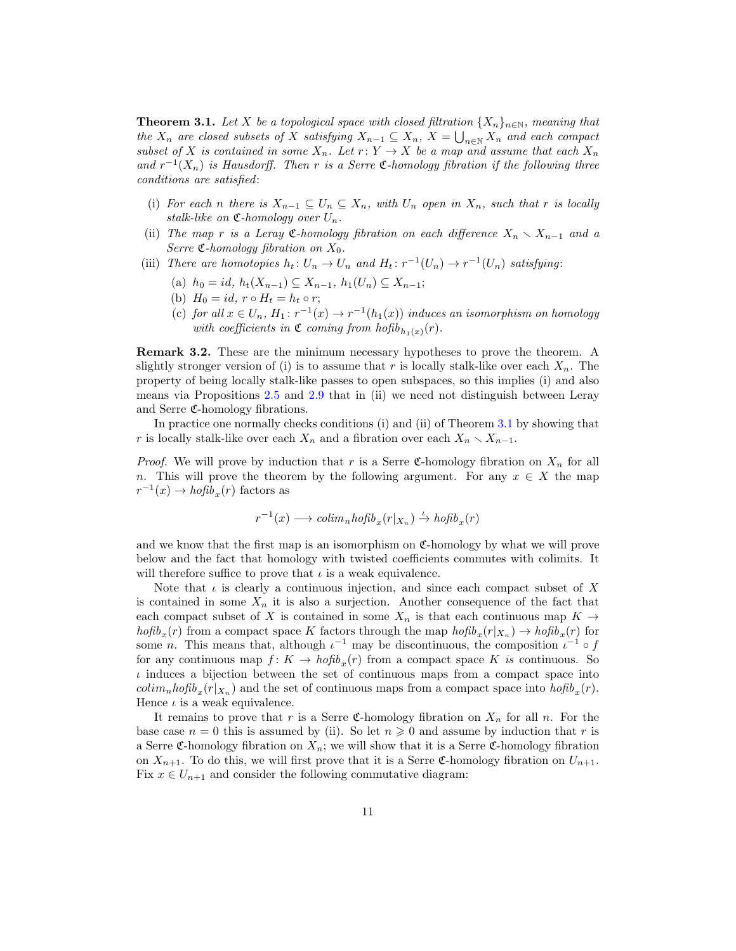<span id="page-10-0"></span>**Theorem 3.1.** Let X be a topological space with closed filtration  $\{X_n\}_{n\in\mathbb{N}}$ , meaning that the  $X_n$  are closed subsets of X satisfying  $X_{n-1} \subseteq X_n$ ,  $X = \bigcup_{n \in \mathbb{N}} X_n$  and each compact subset of X is contained in some  $X_n$ . Let  $r: Y \to X$  be a map and assume that each  $X_n$ and  $r^{-1}(X_n)$  is Hausdorff. Then r is a Serre  $\mathfrak{C}$ -homology fibration if the following three conditions are satisfied:

- (i) For each n there is  $X_{n-1} \subseteq U_n \subseteq X_n$ , with  $U_n$  open in  $X_n$ , such that r is locally stalk-like on  $\mathfrak{C}$ -homology over  $U_n$ .
- (ii) The map r is a Leray  $\mathfrak{C}\text{-}homology$  fibration on each difference  $X_n \setminus X_{n-1}$  and a Serre  $\mathfrak{C}\text{-}homology$  fibration on  $X_0$ .
- (iii) There are homotopies  $h_t: U_n \to U_n$  and  $H_t: r^{-1}(U_n) \to r^{-1}(U_n)$  satisfying:
	- (a)  $h_0 = id, h_t(X_{n-1}) \subseteq X_{n-1}, h_1(U_n) \subseteq X_{n-1};$
	- (b)  $H_0 = id$ ,  $r \circ H_t = h_t \circ r$ ;
	- (c) for all  $x \in U_n$ ,  $H_1: r^{-1}(x) \to r^{-1}(h_1(x))$  induces an isomorphism on homology with coefficients in  $\mathfrak{C}$  coming from  $hofib_{h_1(x)}(r)$ .

Remark 3.2. These are the minimum necessary hypotheses to prove the theorem. A slightly stronger version of (i) is to assume that r is locally stalk-like over each  $X_n$ . The property of being locally stalk-like passes to open subspaces, so this implies (i) and also means via Propositions [2.5](#page-4-1) and [2.9](#page-8-3) that in (ii) we need not distinguish between Leray and Serre C-homology fibrations.

In practice one normally checks conditions (i) and (ii) of Theorem [3.1](#page-10-0) by showing that r is locally stalk-like over each  $X_n$  and a fibration over each  $X_n \setminus X_{n-1}$ .

*Proof.* We will prove by induction that r is a Serre C-homology fibration on  $X_n$  for all n. This will prove the theorem by the following argument. For any  $x \in X$  the map  $r^{-1}(x) \rightarrow h \circ f b_x(r)$  factors as

$$
r^{-1}(x) \longrightarrow colim_nhofib_x(r|_{X_n}) \stackrel{\iota}{\to} hofib_x(r)
$$

and we know that the first map is an isomorphism on  $\mathfrak{C}$ -homology by what we will prove below and the fact that homology with twisted coefficients commutes with colimits. It will therefore suffice to prove that  $\iota$  is a weak equivalence.

Note that  $\iota$  is clearly a continuous injection, and since each compact subset of X is contained in some  $X_n$  it is also a surjection. Another consequence of the fact that each compact subset of X is contained in some  $X_n$  is that each continuous map  $K \to$  $hofib_x(r)$  from a compact space K factors through the map  $hofib_x(r|x_n) \to hofib_x(r)$  for some *n*. This means that, although  $\iota^{-1}$  may be discontinuous, the composition  $\iota^{-1} \circ f$ for any continuous map  $f: K \to hofib_x(r)$  from a compact space K is continuous. So  $\iota$  induces a bijection between the set of continuous maps from a compact space into  $\text{colim}_{n} \text{hofib}_{x}(r | X_{n})$  and the set of continuous maps from a compact space into  $\text{hofib}_{x}(r)$ . Hence  $\iota$  is a weak equivalence.

It remains to prove that r is a Serre C-homology fibration on  $X_n$  for all n. For the base case  $n = 0$  this is assumed by (ii). So let  $n \geq 0$  and assume by induction that r is a Serre C-homology fibration on  $X_n$ ; we will show that it is a Serre C-homology fibration on  $X_{n+1}$ . To do this, we will first prove that it is a Serre C-homology fibration on  $U_{n+1}$ . Fix  $x \in U_{n+1}$  and consider the following commutative diagram: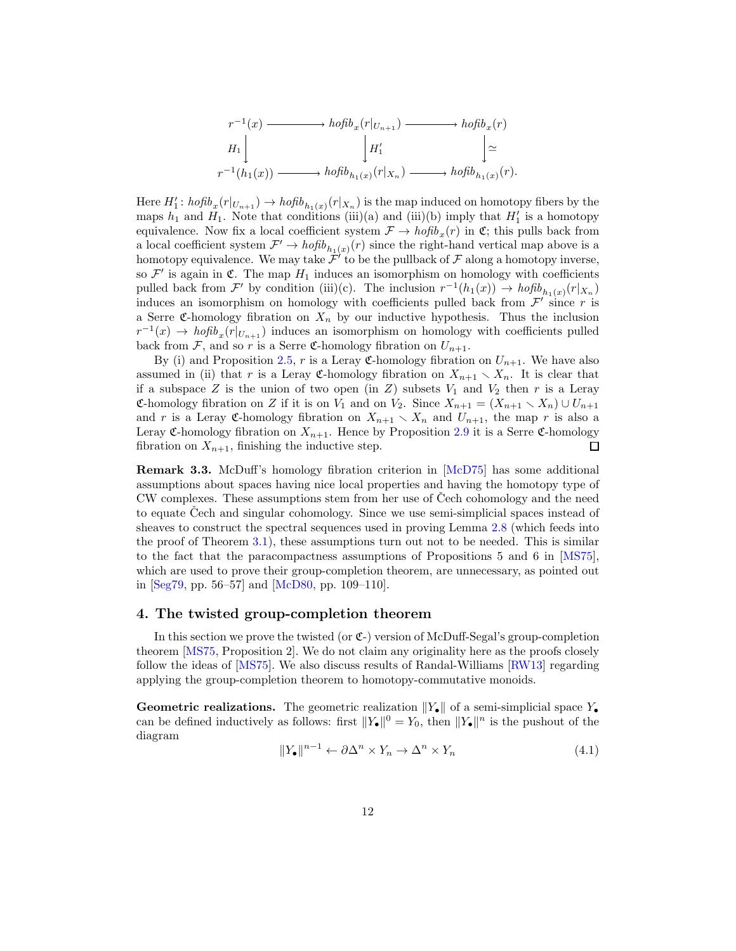<span id="page-11-2"></span>
$$
r^{-1}(x) \longrightarrow hofib_x(r|_{U_{n+1}}) \longrightarrow hofib_x(r)
$$
  
\n
$$
H_1 \downarrow \qquad \qquad | H'_1 \downarrow \qquad \qquad | \simeq
$$
  
\n
$$
r^{-1}(h_1(x)) \longrightarrow hofib_{h_1(x)}(r|x_n) \longrightarrow hofib_{h_1(x)}(r).
$$

Here  $H'_1$ :  $hofib_x(r|_{U_{n+1}}) \rightarrow hofib_{h_1(x)}(r|_{X_n})$  is the map induced on homotopy fibers by the maps  $h_1$  and  $H_1$ . Note that conditions (iii)(a) and (iii)(b) imply that  $H'_1$  is a homotopy equivalence. Now fix a local coefficient system  $\mathcal{F} \to \text{hofib}_x(r)$  in  $\mathfrak{C}$ ; this pulls back from a local coefficient system  $\mathcal{F}' \to \text{hofib}_{h_1(x)}(r)$  since the right-hand vertical map above is a homotopy equivalence. We may take  $\mathcal{F}'$  to be the pullback of  $\mathcal F$  along a homotopy inverse, so  $\mathcal{F}'$  is again in  $\mathfrak{C}$ . The map  $H_1$  induces an isomorphism on homology with coefficients pulled back from  $\mathcal{F}'$  by condition (iii)(c). The inclusion  $r^{-1}(h_1(x)) \to h \circ f b_{h_1(x)}(r | x_n)$ induces an isomorphism on homology with coefficients pulled back from  $\mathcal{F}'$  since r is a Serre C-homology fibration on  $X_n$  by our inductive hypothesis. Thus the inclusion  $r^{-1}(x) \to h \circ f b_x(r|_{U_{n+1}})$  induces an isomorphism on homology with coefficients pulled back from  $\mathcal{F}$ , and so r is a Serre C-homology fibration on  $U_{n+1}$ .

By (i) and Proposition [2.5,](#page-4-1) r is a Leray C-homology fibration on  $U_{n+1}$ . We have also assumed in (ii) that r is a Leray C-homology fibration on  $X_{n+1} \setminus X_n$ . It is clear that if a subspace Z is the union of two open (in Z) subsets  $V_1$  and  $V_2$  then r is a Leray **C-homology fibration on Z if it is on V<sub>1</sub>** and on V<sub>2</sub>. Since  $X_{n+1} = (X_{n+1} \setminus X_n) \cup U_{n+1}$ and r is a Leray C-homology fibration on  $X_{n+1} \setminus X_n$  and  $U_{n+1}$ , the map r is also a Leray C-homology fibration on  $X_{n+1}$ . Hence by Proposition [2.9](#page-8-3) it is a Serre C-homology fibration on  $X_{n+1}$ , finishing the inductive step. П

Remark 3.3. McDuff's homology fibration criterion in [\[McD75](#page-19-1)] has some additional assumptions about spaces having nice local properties and having the homotopy type of CW complexes. These assumptions stem from her use of Čech cohomology and the need to equate Čech and singular cohomology. Since we use semi-simplicial spaces instead of sheaves to construct the spectral sequences used in proving Lemma [2.8](#page-5-2) (which feeds into the proof of Theorem [3.1\)](#page-10-0), these assumptions turn out not to be needed. This is similar to the fact that the paracompactness assumptions of Propositions 5 and 6 in [\[MS75](#page-19-0)], which are used to prove their group-completion theorem, are unnecessary, as pointed out in  $[Seg79, pp. 56–57]$  and  $[McD80, pp. 109–110]$ .

## <span id="page-11-0"></span>4. The twisted group-completion theorem

In this section we prove the twisted (or  $\mathfrak{C}$ -) version of McDuff-Segal's group-completion theorem [\[MS75](#page-19-0), Proposition 2]. We do not claim any originality here as the proofs closely follow the ideas of [\[MS75](#page-19-0)]. We also discuss results of Randal-Williams [\[RW13\]](#page-20-3) regarding applying the group-completion theorem to homotopy-commutative monoids.

**Geometric realizations.** The geometric realization  $||Y_{\bullet}||$  of a semi-simplicial space Y<sub>•</sub> can be defined inductively as follows: first  $||Y_{\bullet}||^{0} = Y_{0}$ , then  $||Y_{\bullet}||^{n}$  is the pushout of the diagram

<span id="page-11-1"></span>
$$
||Y_{\bullet}||^{n-1} \leftarrow \partial \Delta^n \times Y_n \to \Delta^n \times Y_n \tag{4.1}
$$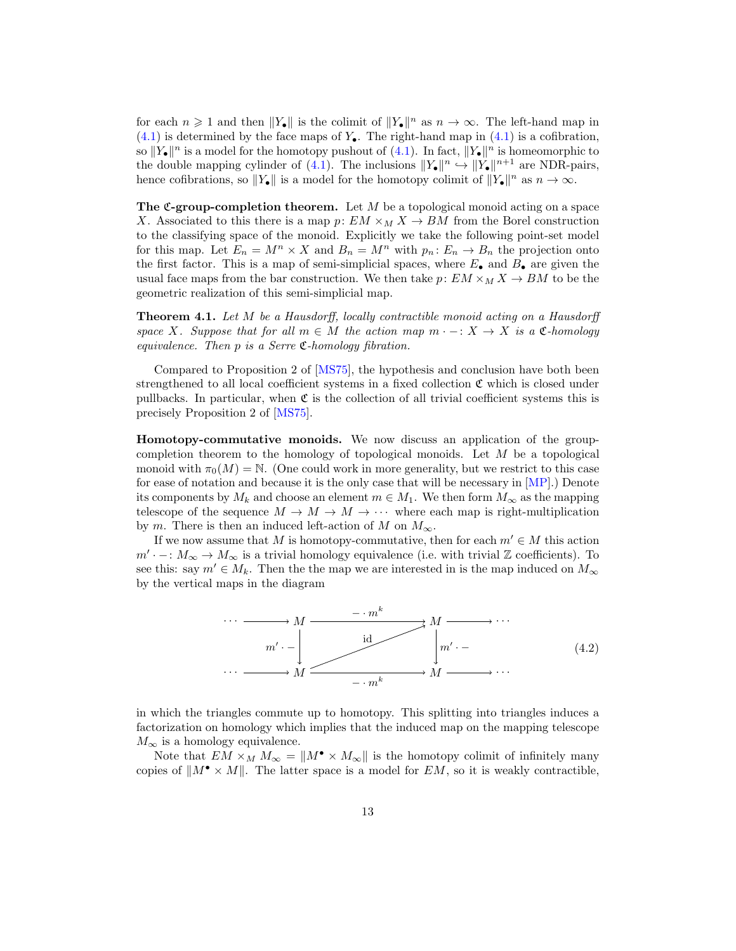<span id="page-12-2"></span>for each  $n \geq 1$  and then  $||Y_{\bullet}||$  is the colimit of  $||Y_{\bullet}||^n$  as  $n \to \infty$ . The left-hand map in  $(4.1)$  is determined by the face maps of  $Y_{\bullet}$ . The right-hand map in  $(4.1)$  is a cofibration, so  $||Y_{\bullet}||^n$  is a model for the homotopy pushout of  $(4.1)$ . In fact,  $||Y_{\bullet}||^n$  is homeomorphic to the double mapping cylinder of [\(4.1\)](#page-11-1). The inclusions  $||Y_{\bullet}||^n \hookrightarrow ||Y_{\bullet}||^{n+1}$  are NDR-pairs, hence cofibrations, so  $||Y_{\bullet}||$  is a model for the homotopy colimit of  $||Y_{\bullet}||^n$  as  $n \to \infty$ .

The C-group-completion theorem. Let  $M$  be a topological monoid acting on a space X. Associated to this there is a map p:  $EM \times_M X \rightarrow BM$  from the Borel construction to the classifying space of the monoid. Explicitly we take the following point-set model for this map. Let  $E_n = M^n \times X$  and  $B_n = M^n$  with  $p_n : E_n \to B_n$  the projection onto the first factor. This is a map of semi-simplicial spaces, where  $E_{\bullet}$  and  $B_{\bullet}$  are given the usual face maps from the bar construction. We then take  $p: EM \times_M X \to BM$  to be the geometric realization of this semi-simplicial map.

<span id="page-12-0"></span>**Theorem 4.1.** Let M be a Hausdorff, locally contractible monoid acting on a Hausdorff space X. Suppose that for all  $m \in M$  the action map  $m \cdot -X \to X$  is a  $\mathfrak{C}\text{-}homology$ equivalence. Then  $p$  is a Serre  $\mathfrak{C}\text{-}homology$  fibration.

Compared to Proposition 2 of [\[MS75](#page-19-0)], the hypothesis and conclusion have both been strengthened to all local coefficient systems in a fixed collection  $\mathfrak C$  which is closed under pullbacks. In particular, when  $\mathfrak C$  is the collection of all trivial coefficient systems this is precisely Proposition 2 of [\[MS75\]](#page-19-0).

Homotopy-commutative monoids. We now discuss an application of the groupcompletion theorem to the homology of topological monoids. Let  $M$  be a topological monoid with  $\pi_0(M) = \mathbb{N}$ . (One could work in more generality, but we restrict to this case for ease of notation and because it is the only case that will be necessary in [\[MP\]](#page-19-2).) Denote its components by  $M_k$  and choose an element  $m \in M_1$ . We then form  $M_\infty$  as the mapping telescope of the sequence  $M \to M \to M \to \cdots$  where each map is right-multiplication by m. There is then an induced left-action of M on  $M_{\infty}$ .

If we now assume that M is homotopy-commutative, then for each  $m' \in M$  this action  $m' \cdot -: M_{\infty} \to M_{\infty}$  is a trivial homology equivalence (i.e. with trivial Z coefficients). To see this: say  $m' \in M_k$ . Then the the map we are interested in is the map induced on  $M_{\infty}$ by the vertical maps in the diagram



<span id="page-12-1"></span>in which the triangles commute up to homotopy. This splitting into triangles induces a factorization on homology which implies that the induced map on the mapping telescope  $M_{\infty}$  is a homology equivalence.

Note that  $EM \times_M M_\infty = ||M^{\bullet} \times M_\infty||$  is the homotopy colimit of infinitely many copies of  $||M^{\bullet} \times M||$ . The latter space is a model for EM, so it is weakly contractible,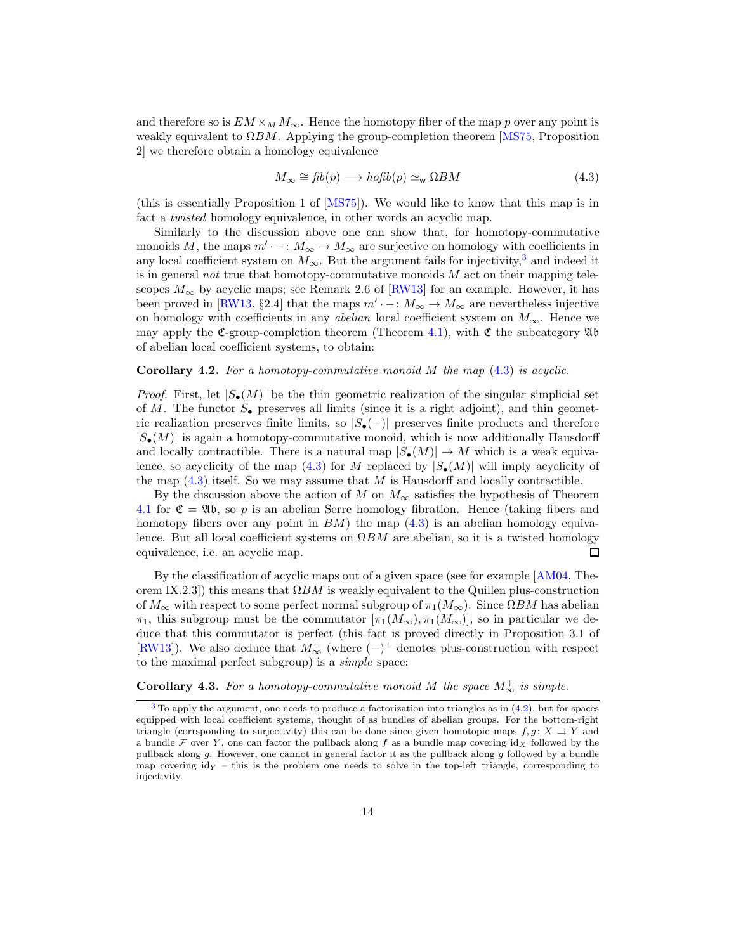<span id="page-13-5"></span>and therefore so is  $EM \times_M M_\infty$ . Hence the homotopy fiber of the map p over any point is weakly equivalent to  $\Omega BM$ . Applying the group-completion theorem [\[MS75,](#page-19-0) Proposition 2] we therefore obtain a homology equivalence

<span id="page-13-2"></span><span id="page-13-1"></span>
$$
M_{\infty} \cong \text{fib}(p) \longrightarrow \text{hofib}(p) \simeq_{\text{w}} \Omega BM \tag{4.3}
$$

(this is essentially Proposition 1 of [\[MS75](#page-19-0)]). We would like to know that this map is in fact a *twisted* homology equivalence, in other words an acyclic map.

Similarly to the discussion above one can show that, for homotopy-commutative monoids M, the maps  $m' \cdot - : M_{\infty} \to M_{\infty}$  are surjective on homology with coefficients in any local coefficient system on  $M_{\infty}$ . But the argument fails for injectivity,<sup>[3](#page-13-0)</sup> and indeed it is in general not true that homotopy-commutative monoids  $M$  act on their mapping telescopes  $M_{\infty}$  by acyclic maps; see Remark 2.6 of [\[RW13](#page-20-3)] for an example. However, it has been proved in [\[RW13,](#page-20-3) §2.4] that the maps  $m' \cdot - : M_{\infty} \to M_{\infty}$  are nevertheless injective on homology with coefficients in any *abelian* local coefficient system on  $M_{\infty}$ . Hence we may apply the C-group-completion theorem (Theorem [4.1\)](#page-12-0), with  $\mathfrak C$  the subcategory  $\mathfrak A$ b of abelian local coefficient systems, to obtain:

## <span id="page-13-3"></span>**Corollary 4.2.** For a homotopy-commutative monoid M the map  $(4.3)$  is acyclic.

*Proof.* First, let  $|S_{\bullet}(M)|$  be the thin geometric realization of the singular simplicial set of M. The functor  $S_{\bullet}$  preserves all limits (since it is a right adjoint), and thin geometric realization preserves finite limits, so  $|S_{\bullet}(-)|$  preserves finite products and therefore  $|S_{\bullet}(M)|$  is again a homotopy-commutative monoid, which is now additionally Hausdorff and locally contractible. There is a natural map  $|S_{\bullet}(M)| \to M$  which is a weak equiva-lence, so acyclicity of the map [\(4.3\)](#page-13-1) for M replaced by  $|S_{\bullet}(M)|$  will imply acyclicity of the map  $(4.3)$  itself. So we may assume that M is Hausdorff and locally contractible.

By the discussion above the action of M on  $M_{\infty}$  satisfies the hypothesis of Theorem [4.1](#page-12-0) for  $\mathfrak{C} = \mathfrak{Ab}$ , so p is an abelian Serre homology fibration. Hence (taking fibers and homotopy fibers over any point in  $BM$ ) the map  $(4.3)$  is an abelian homology equivalence. But all local coefficient systems on  $\Omega BM$  are abelian, so it is a twisted homology equivalence, i.e. an acyclic map. □

By the classification of acyclic maps out of a given space (see for example [\[AM04,](#page-18-5) Theorem IX.2.3]) this means that  $\Omega BM$  is weakly equivalent to the Quillen plus-construction of  $M_{\infty}$  with respect to some perfect normal subgroup of  $\pi_1(M_{\infty})$ . Since  $\Omega BM$  has abelian  $\pi_1$ , this subgroup must be the commutator  $[\pi_1(M_\infty), \pi_1(M_\infty)]$ , so in particular we deduce that this commutator is perfect (this fact is proved directly in Proposition 3.1 of [\[RW13\]](#page-20-3)). We also deduce that  $M^{\dagger}_{\infty}$  (where  $(-)^{+}$  denotes plus-construction with respect to the maximal perfect subgroup) is a simple space:

## <span id="page-13-4"></span>**Corollary 4.3.** For a homotopy-commutative monoid M the space  $M_{\infty}^{+}$  is simple.

<span id="page-13-0"></span> $3$  To apply the argument, one needs to produce a factorization into triangles as in  $(4.2)$ , but for spaces equipped with local coefficient systems, thought of as bundles of abelian groups. For the bottom-right triangle (corrsponding to surjectivity) this can be done since given homotopic maps  $f, g: X \Rightarrow Y$  and a bundle F over Y, one can factor the pullback along f as a bundle map covering  $\mathrm{id}_X$  followed by the pullback along g. However, one cannot in general factor it as the pullback along g followed by a bundle map covering  $\mathrm{id}_Y$  – this is the problem one needs to solve in the top-left triangle, corresponding to injectivity.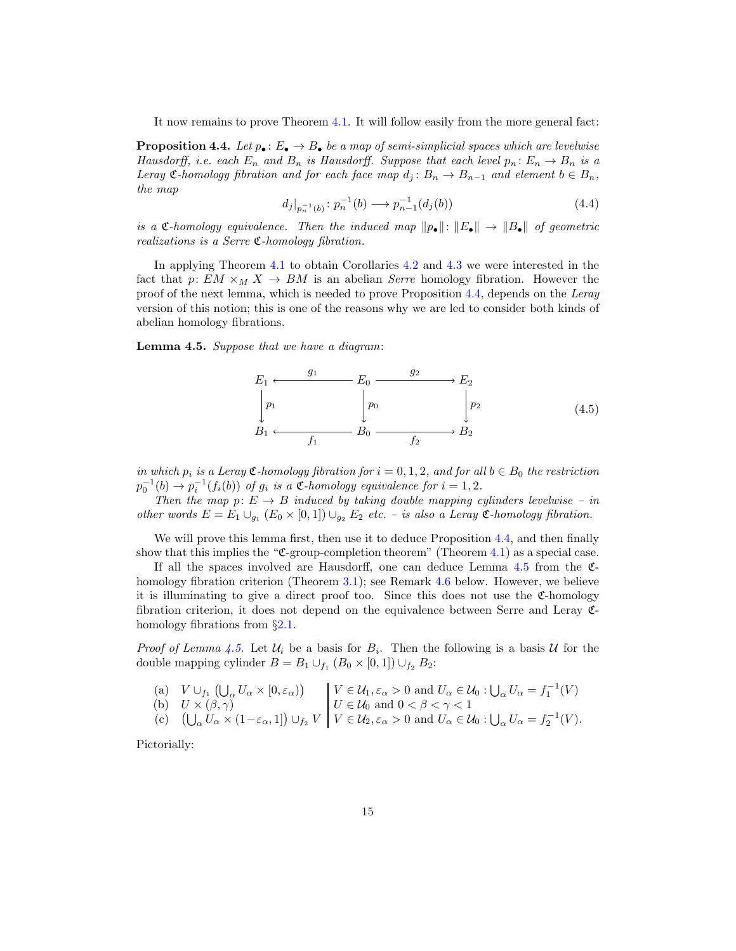It now remains to prove Theorem [4.1.](#page-12-0) It will follow easily from the more general fact:

<span id="page-14-0"></span>**Proposition 4.4.** Let  $p_{\bullet}$ :  $E_{\bullet} \to B_{\bullet}$  be a map of semi-simplicial spaces which are levelwise Hausdorff, i.e. each  $E_n$  and  $B_n$  is Hausdorff. Suppose that each level  $p_n: E_n \to B_n$  is a Leray  $\mathfrak{C}\text{-}homology$  fibration and for each face map  $d_i: B_n \to B_{n-1}$  and element  $b \in B_n$ , the map

<span id="page-14-2"></span>
$$
d_j|_{p_n^{-1}(b)}: p_n^{-1}(b) \longrightarrow p_{n-1}^{-1}(d_j(b))
$$
\n(4.4)

is a C-homology equivalence. Then the induced map  $\|\mathbf{p}_\bullet\| : \|E_\bullet\| \to \|B_\bullet\|$  of geometric realizations is a Serre C-homology fibration.

In applying Theorem [4.1](#page-12-0) to obtain Corollaries [4.2](#page-13-3) and [4.3](#page-13-4) we were interested in the fact that p:  $EM \times_M X \rightarrow BM$  is an abelian *Serre* homology fibration. However the proof of the next lemma, which is needed to prove Proposition [4.4,](#page-14-0) depends on the Leray version of this notion; this is one of the reasons why we are led to consider both kinds of abelian homology fibrations.

<span id="page-14-1"></span>Lemma 4.5. Suppose that we have a diagram:



in which  $p_i$  is a Leray  $\mathfrak{C}\text{-}homology$  fibration for  $i = 0, 1, 2$ , and for all  $b \in B_0$  the restriction  $p_0^{-1}(b) \to p_i^{-1}(f_i(b))$  of  $g_i$  is a  $\mathfrak{C}$ -homology equivalence for  $i = 1, 2$ .

Then the map  $p: E \to B$  induced by taking double mapping cylinders levelwise – in other words  $E = E_1 \cup_{g_1} (E_0 \times [0,1]) \cup_{g_2} E_2$  etc. – is also a Leray  $\mathfrak{C}\text{-}homology$  fibration.

We will prove this lemma first, then use it to deduce Proposition [4.4,](#page-14-0) and then finally show that this implies the "C-group-completion theorem" (Theorem [4.1\)](#page-12-0) as a special case.

If all the spaces involved are Hausdorff, one can deduce Lemma  $4.5$  from the  $\mathfrak{C}$ -homology fibration criterion (Theorem [3.1\)](#page-10-0); see Remark [4.6](#page-16-0) below. However, we believe it is illuminating to give a direct proof too. Since this does not use the C-homology fibration criterion, it does not depend on the equivalence between Serre and Leray Chomology fibrations from  $\S 2.1$ .

*Proof of Lemma [4.5.](#page-14-1)* Let  $U_i$  be a basis for  $B_i$ . Then the following is a basis U for the double mapping cylinder  $B = B_1 \cup_{f_1} (B_0 \times [0,1]) \cup_{f_2} B_2$ :

(a) 
$$
V \cup_{f_1} (\bigcup_{\alpha} U_{\alpha} \times [0, \varepsilon_{\alpha}) )
$$
  
\n(b)  $U \times (\beta, \gamma)$   
\n(c)  $(\bigcup_{\alpha} U_{\alpha} \times (1 - \varepsilon_{\alpha}, 1]) \cup_{f_2} V$   
\n $V \in \mathcal{U}_0$  and  $0 < \beta < \gamma < 1$   
\n $V \in \mathcal{U}_0$  and  $0 < \beta < \gamma < 1$   
\n $V \in \mathcal{U}_2, \varepsilon_{\alpha} > 0$  and  $U_{\alpha} \in \mathcal{U}_0 : \bigcup_{\alpha} U_{\alpha} = f_1^{-1}(V)$ .

Pictorially: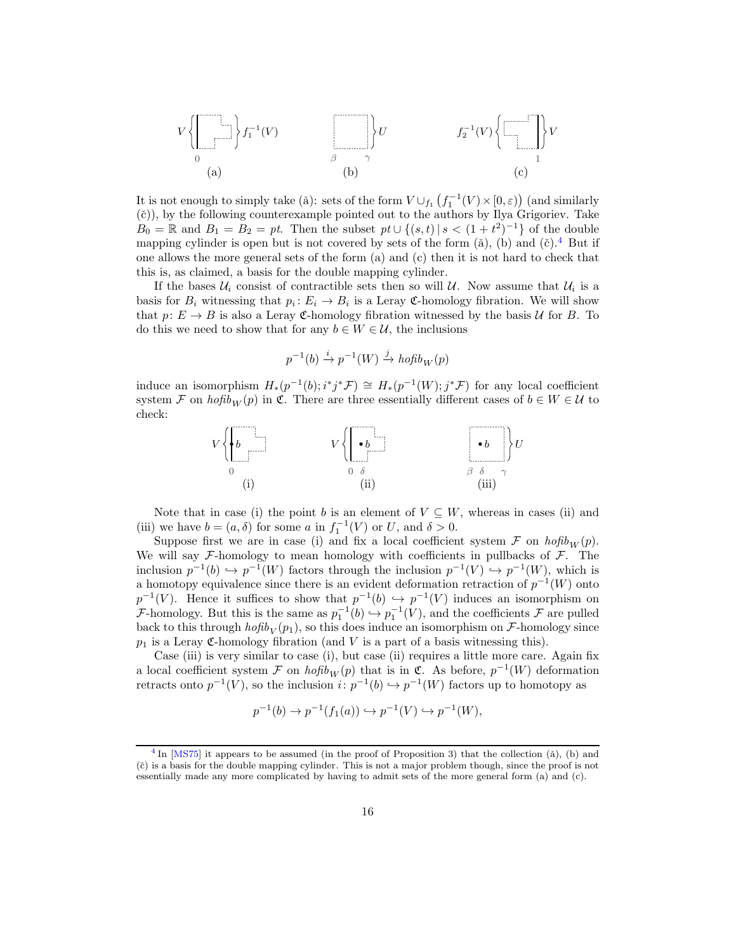<span id="page-15-2"></span>
$$
V\left\{\left[\begin{array}{c}\downarrow\\0\end{array}\right]f_1^{-1}(V)\right\}
$$
\n(a)\n(b)\n
$$
\left.\begin{array}{c}\uparrow\\0\end{array}\right\}U
$$
\n(c)\n
$$
\left\{\begin{array}{c}\uparrow\\0\end{array}\right\}V
$$
\n(c)

It is not enough to simply take ( $\tilde{a}$ ): sets of the form  $V \cup_{f_1} (f_1^{-1}(V) \times [0, \varepsilon))$  (and similarly  $(\check{c})$ , by the following counterexample pointed out to the authors by Ilya Grigoriev. Take  $B_0 = \mathbb{R}$  and  $B_1 = B_2 = pt$ . Then the subset  $pt \cup \{(s, t) | s < (1 + t^2)^{-1}\}\$  of the double mapping cylinder is open but is not covered by sets of the form ( $\ddot{a}$ ), (b) and ( $\ddot{c}$ ).<sup>[4](#page-15-0)</sup> But if one allows the more general sets of the form (a) and (c) then it is not hard to check that this is, as claimed, a basis for the double mapping cylinder.

If the bases  $\mathcal{U}_i$  consist of contractible sets then so will  $\mathcal{U}$ . Now assume that  $\mathcal{U}_i$  is a basis for  $B_i$  witnessing that  $p_i: E_i \to B_i$  is a Leray C-homology fibration. We will show that  $p: E \to B$  is also a Leray C-homology fibration witnessed by the basis U for B. To do this we need to show that for any  $b \in W \in \mathcal{U}$ , the inclusions

<span id="page-15-1"></span>
$$
p^{-1}(b) \xrightarrow{i} p^{-1}(W) \xrightarrow{j} \operatorname{hofib}_W(p)
$$

induce an isomorphism  $H_*(p^{-1}(b); i^*j^*\mathcal{F}) \cong H_*(p^{-1}(W); j^*\mathcal{F})$  for any local coefficient system F on  $h \circ f b_W(p)$  in C. There are three essentially different cases of  $b \in W \in \mathcal{U}$  to check:



Note that in case (i) the point b is an element of  $V \subseteq W$ , whereas in cases (ii) and (iii) we have  $b = (a, \delta)$  for some a in  $f_1^{-1}(V)$  or U, and  $\delta > 0$ .

Suppose first we are in case (i) and fix a local coefficient system  $\mathcal F$  on  $hofib_W(p)$ . We will say  $\mathcal{F}\text{-homology}$  to mean homology with coefficients in pullbacks of  $\mathcal{F}$ . The inclusion  $p^{-1}(b) \hookrightarrow p^{-1}(W)$  factors through the inclusion  $p^{-1}(V) \hookrightarrow p^{-1}(W)$ , which is a homotopy equivalence since there is an evident deformation retraction of  $p^{-1}(W)$  onto  $p^{-1}(V)$ . Hence it suffices to show that  $p^{-1}(b) \hookrightarrow p^{-1}(V)$  induces an isomorphism on *F*-homology. But this is the same as  $p_1^{-1}(b) \hookrightarrow p_1^{-1}(V)$ , and the coefficients *F* are pulled back to this through  $hofib_V(p_1)$ , so this does induce an isomorphism on  $\mathcal{F}\text{-homology}$  since  $p_1$  is a Leray C-homology fibration (and V is a part of a basis witnessing this).

Case (iii) is very similar to case (i), but case (ii) requires a little more care. Again fix a local coefficient system  $\mathcal F$  on  $hofib_W(p)$  that is in  $\mathfrak C$ . As before,  $p^{-1}(W)$  deformation retracts onto  $p^{-1}(V)$ , so the inclusion  $i: p^{-1}(b) \hookrightarrow p^{-1}(W)$  factors up to homotopy as

$$
p^{-1}(b) \to p^{-1}(f_1(a)) \hookrightarrow p^{-1}(V) \hookrightarrow p^{-1}(W),
$$

<span id="page-15-0"></span> $^{4}$  $^{4}$  $^{4}$  In [\[MS75](#page-19-0)] it appears to be assumed (in the proof of Proposition 3) that the collection ( $\check{a}$ ), (b) and (ˇc) is a basis for the double mapping cylinder. This is not a major problem though, since the proof is not essentially made any more complicated by having to admit sets of the more general form (a) and (c).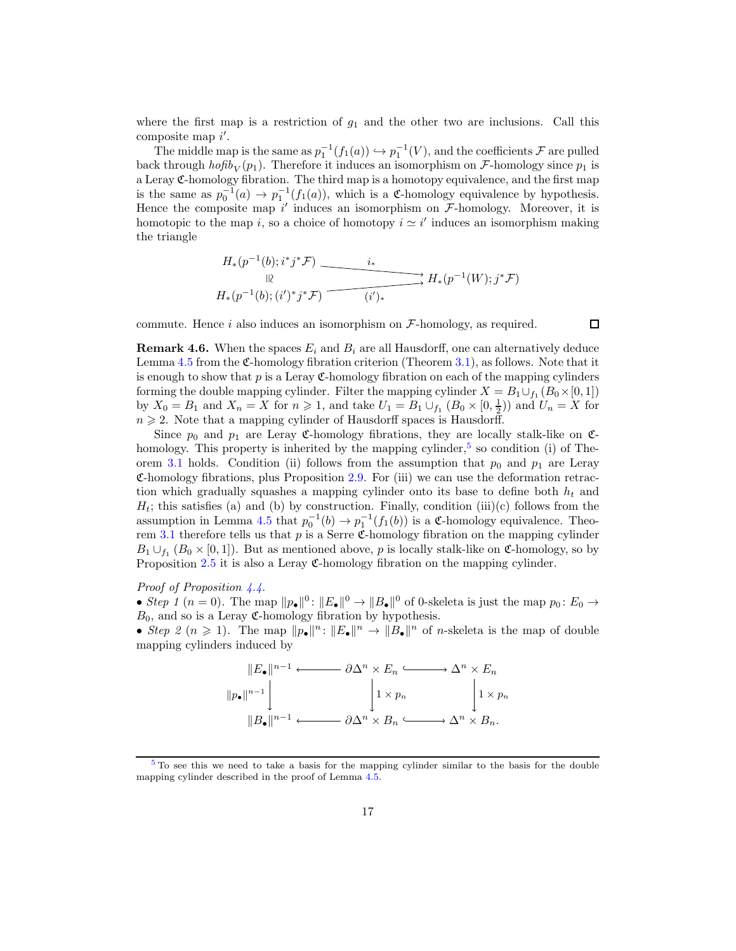where the first map is a restriction of  $g_1$  and the other two are inclusions. Call this composite map  $i'$ .

The middle map is the same as  $p_1^{-1}(f_1(a)) \hookrightarrow p_1^{-1}(V)$ , and the coefficients  $\mathcal F$  are pulled back through  $hofib_V(p_1)$ . Therefore it induces an isomorphism on F-homology since  $p_1$  is a Leray C-homology fibration. The third map is a homotopy equivalence, and the first map is the same as  $p_0^{-1}(a) \to p_1^{-1}(f_1(a))$ , which is a C-homology equivalence by hypothesis. Hence the composite map  $i'$  induces an isomorphism on  $\mathcal{F}\text{-homology}$ . Moreover, it is homotopic to the map i, so a choice of homotopy  $i \simeq i'$  induces an isomorphism making the triangle

$$
H_*(p^{-1}(b); i^*j^*\mathcal{F}) \xrightarrow{\phantom{H_*^H_{*}}}\n\downarrow R_*(p^{-1}(b); j^*\mathcal{F})\n\quad{\phantom{H_*^H_{*}}}\n\qquad\n\downarrow R_*(p^{-1}(b); j^*\mathcal{F})\n\qquad\n\downarrow R_*(p^{-1}(b); j^*\mathcal{F})\n\qquad\n\downarrow R_*(p^{-1}(b); j^*\mathcal{F})\n\qquad\n\downarrow R_*(p^{-1}(b); j^*\mathcal{F})\n\qquad\n\downarrow R_*(p^{-1}(b); j^*\mathcal{F})\n\qquad\n\downarrow R_*(p^{-1}(b); j^*\mathcal{F})\n\qquad\n\downarrow R_*(p^{-1}(b); j^*\mathcal{F})\n\qquad\n\downarrow R_*(p^{-1}(b); j^*\mathcal{F})\n\qquad\n\downarrow R_*(p^{-1}(b); j^*\mathcal{F})\n\qquad\n\downarrow R_*(p^{-1}(b); j^*\mathcal{F})\n\qquad\n\downarrow R_*(p^{-1}(b); j^*\mathcal{F})\n\qquad\n\downarrow R_*(p^{-1}(b); j^*\mathcal{F})\n\qquad\n\downarrow R_*(p^{-1}(b); j^*\mathcal{F})\n\qquad\n\downarrow R_*(p^{-1}(b); j^*\mathcal{F})\n\qquad\n\downarrow R_*(p^{-1}(b); j^*\mathcal{F})\n\qquad\n\downarrow R_*(p^{-1}(b); j^*\mathcal{F})\n\qquad\n\downarrow R_*(p^{-1}(b); j^*\mathcal{F})\n\qquad\n\downarrow R_*(p^{-1}(b); j^*\mathcal{F})\n\qquad\n\downarrow R_*(p^{-1}(b); j^*\mathcal{F})\n\qquad\n\downarrow R_*(p^{-1}(b); j^*\mathcal{F})\n\qquad\n\downarrow R_*(p^{-1}(b); j^*\mathcal{F})\n\qquad\n\downarrow R_*(p^{-1}(b); j^*\mathcal{F})\n\qquad\n\downarrow R_*(p^{-1}(b); j^*\mathcal{F})\n\qquad\n\downarrow R_*(p^{-1}(b); j^*\mathcal{F})\n\qquad\n\downarrow R_*(p^{-1}(b); j^*\mathcal{F})\n\qquad\n\downarrow R_*(p^{-1}(b); j^*\mathcal{F})\n\qquad\n\downarrow R_*(
$$

commute. Hence  $i$  also induces an isomorphism on  $\mathcal{F}\text{-homology}$ , as required.

<span id="page-16-2"></span> $\Box$ 

<span id="page-16-0"></span>**Remark 4.6.** When the spaces  $E_i$  and  $B_i$  are all Hausdorff, one can alternatively deduce Lemma [4.5](#page-14-1) from the C-homology fibration criterion (Theorem [3.1\)](#page-10-0), as follows. Note that it is enough to show that  $p$  is a Leray  $\mathfrak{C}$ -homology fibration on each of the mapping cylinders forming the double mapping cylinder. Filter the mapping cylinder  $X = B_1 \cup_{f_1} (B_0 \times [0,1])$ by  $X_0 = B_1$  and  $X_n = X$  for  $n \geq 1$ , and take  $U_1 = B_1 \cup_{f_1} (B_0 \times [0, \frac{1}{2}))$  and  $U_n = X$  for  $n \geqslant 2$ . Note that a mapping cylinder of Hausdorff spaces is Hausdorff.

Since  $p_0$  and  $p_1$  are Leray C-homology fibrations, they are locally stalk-like on C-homology. This property is inherited by the mapping cylinder,<sup>[5](#page-16-1)</sup> so condition (i) of The-orem [3.1](#page-10-0) holds. Condition (ii) follows from the assumption that  $p_0$  and  $p_1$  are Leray C-homology fibrations, plus Proposition [2.9.](#page-8-3) For (iii) we can use the deformation retraction which gradually squashes a mapping cylinder onto its base to define both  $h_t$  and  $H_t$ ; this satisfies (a) and (b) by construction. Finally, condition (iii)(c) follows from the assumption in Lemma [4.5](#page-14-1) that  $p_0^{-1}(b) \to p_1^{-1}(f_1(b))$  is a C-homology equivalence. Theo-rem [3.1](#page-10-0) therefore tells us that  $p$  is a Serre C-homology fibration on the mapping cylinder  $B_1 \cup_{f_1} (B_0 \times [0,1])$ . But as mentioned above, p is locally stalk-like on C-homology, so by Proposition [2.5](#page-4-1) it is also a Leray C-homology fibration on the mapping cylinder.

## Proof of Proposition  $\frac{1}{4}$ .

• Step 1 (n = 0). The map  $||p_{\bullet}||^0$ :  $||E_{\bullet}||^0 \to ||B_{\bullet}||^0$  of 0-skeleta is just the map  $p_0: E_0 \to$  $B_0$ , and so is a Leray  $\mathfrak{C}$ -homology fibration by hypothesis.

• Step 2  $(n \geq 1)$ . The map  $||p_{\bullet}||^n : ||E_{\bullet}||^n \to ||B_{\bullet}||^n$  of *n*-skeleta is the map of double mapping cylinders induced by

$$
||E_{\bullet}||^{n-1} \longleftrightarrow \partial \Delta^n \times E_n \longleftrightarrow \Delta^n \times E_n
$$
  

$$
||p_{\bullet}||^{n-1} \downarrow \qquad \qquad ||\times p_n \downarrow \qquad \qquad ||\times p_n
$$
  

$$
||B_{\bullet}||^{n-1} \longleftrightarrow \partial \Delta^n \times B_n \longleftrightarrow \Delta^n \times B_n.
$$

<span id="page-16-1"></span><sup>&</sup>lt;sup>[5](#page-16-2)</sup> To see this we need to take a basis for the mapping cylinder similar to the basis for the double mapping cylinder described in the proof of Lemma [4.5.](#page-14-1)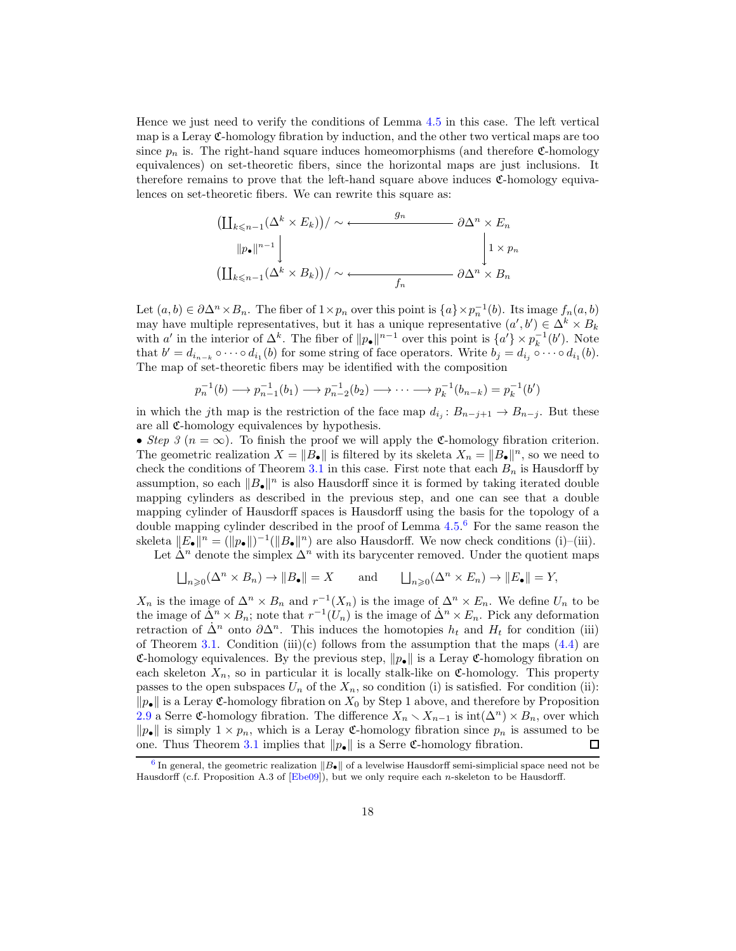<span id="page-17-2"></span>Hence we just need to verify the conditions of Lemma [4.5](#page-14-1) in this case. The left vertical map is a Leray  $\mathfrak{C}$ -homology fibration by induction, and the other two vertical maps are too since  $p_n$  is. The right-hand square induces homeomorphisms (and therefore  $\mathfrak{C}$ -homology equivalences) on set-theoretic fibers, since the horizontal maps are just inclusions. It therefore remains to prove that the left-hand square above induces  $\mathfrak{C}$ -homology equivalences on set-theoretic fibers. We can rewrite this square as:

$$
\left(\coprod_{k \leq n-1} (\Delta^k \times E_k)\right) / \sim \underbrace{\qquad \qquad g_n \qquad \qquad }_{\text{min}} \partial \Delta^n \times E_n
$$
\n
$$
\left\|P_{\bullet}\right\|^{n-1} \Bigg| \qquad \qquad \downarrow \qquad \qquad \downarrow \qquad \downarrow
$$
\n
$$
\left(\coprod_{k \leq n-1} (\Delta^k \times B_k)\right) / \sim \underbrace{\qquad \qquad }_{f_n} \qquad \qquad \partial \Delta^n \times B_n
$$

Let  $(a, b) \in \partial \Delta^n \times B_n$ . The fiber of  $1 \times p_n$  over this point is  $\{a\} \times p_n^{-1}(b)$ . Its image  $f_n(a, b)$ may have multiple representatives, but it has a unique representative  $(a', b') \in \Delta^k \times B_k$ with a' in the interior of  $\Delta^k$ . The fiber of  $||p_{\bullet}||^{n-1}$  over this point is  $\{a'\}\times p_k^{-1}(b')$ . Note that  $b' = d_{i_{n-k}} \circ \cdots \circ d_{i_1}(b)$  for some string of face operators. Write  $b_j = d_{i_j} \circ \cdots \circ d_{i_1}(b)$ . The map of set-theoretic fibers may be identified with the composition

$$
p_n^{-1}(b) \longrightarrow p_{n-1}^{-1}(b_1) \longrightarrow p_{n-2}^{-1}(b_2) \longrightarrow \cdots \longrightarrow p_k^{-1}(b_{n-k}) = p_k^{-1}(b')
$$

in which the j<sup>th</sup> map is the restriction of the face map  $d_{i_j}: B_{n-j+1} \to B_{n-j}$ . But these are all  $\mathfrak{C}$ -homology equivalences by hypothesis.

• Step 3 ( $n = \infty$ ). To finish the proof we will apply the C-homology fibration criterion. The geometric realization  $X = ||B_{\bullet}||$  is filtered by its skeleta  $X_n = ||B_{\bullet}||^n$ , so we need to check the conditions of Theorem [3.1](#page-10-0) in this case. First note that each  $B_n$  is Hausdorff by assumption, so each  $||B_{\bullet}||^n$  is also Hausdorff since it is formed by taking iterated double mapping cylinders as described in the previous step, and one can see that a double mapping cylinder of Hausdorff spaces is Hausdorff using the basis for the topology of a double mapping cylinder described in the proof of Lemma [4.5.](#page-14-1)<sup>[6](#page-17-0)</sup> For the same reason the skeleta  $||E_{\bullet}||^n = (||p_{\bullet}||)^{-1} (||B_{\bullet}||^n)$  are also Hausdorff. We now check conditions (i)–(iii). Let  $\Delta^n$  denote the simplex  $\Delta^n$  with its barycenter removed. Under the quotient maps

Let 
$$
\Delta
$$
 denote the simplex  $\Delta$  with its barycenter removed. Under the quotient in

<span id="page-17-1"></span>
$$
\bigsqcup_{n\geqslant 0} (\Delta^n \times B_n) \to \|B_{\bullet}\| = X \quad \text{and} \quad \bigsqcup_{n\geqslant 0} (\Delta^n \times E_n) \to \|E_{\bullet}\| = Y,
$$

 $X_n$  is the image of  $\Delta^n \times B_n$  and  $r^{-1}(X_n)$  is the image of  $\Delta^n \times E_n$ . We define  $U_n$  to be the image of  $\Delta^n \times B_n$ ; note that  $r^{-1}(U_n)$  is the image of  $\Delta^n \times E_n$ . Pick any deformation retraction of  $\Delta^n$  onto  $\partial \Delta^n$ . This induces the homotopies  $h_t$  and  $H_t$  for condition (iii) of Theorem [3.1.](#page-10-0) Condition (iii)(c) follows from the assumption that the maps  $(4.4)$  are C-homology equivalences. By the previous step,  $\|p_{\bullet}\|$  is a Leray C-homology fibration on each skeleton  $X_n$ , so in particular it is locally stalk-like on C-homology. This property passes to the open subspaces  $U_n$  of the  $X_n$ , so condition (i) is satisfied. For condition (ii):  $\|p_{\bullet}\|$  is a Leray C-homology fibration on  $X_0$  by Step 1 above, and therefore by Proposition [2.9](#page-8-3) a Serre C-homology fibration. The difference  $X_n \setminus X_{n-1}$  is  $\text{int}(\Delta^n) \times B_n$ , over which  $\|p_{\bullet}\|$  is simply  $1 \times p_n$ , which is a Leray C-homology fibration since  $p_n$  is assumed to be one. Thus Theorem [3.1](#page-10-0) implies that  $\|\mathbf{p}_{\bullet}\|$  is a Serre C-homology fibration.  $\Box$ 

<span id="page-17-0"></span> $6$  In general, the geometric realization  $||B_{\bullet}||$  of a levelwise Hausdorff semi-simplicial space need not be Hausdorff (c.f. Proposition A.3 of [\[Ebe09](#page-18-6)]), but we only require each n-skeleton to be Hausdorff.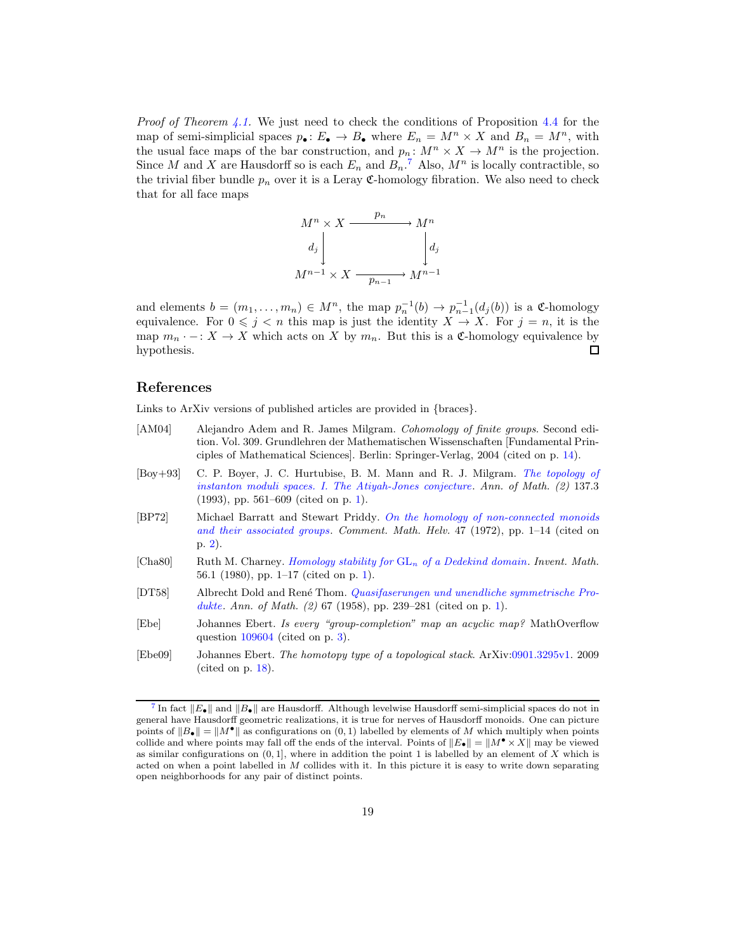*Proof of Theorem [4.1.](#page-12-0)* We just need to check the conditions of Proposition [4.4](#page-14-0) for the map of semi-simplicial spaces  $p_{\bullet} : E_{\bullet} \to B_{\bullet}$  where  $E_n = M^n \times X$  and  $B_n = M^n$ , with the usual face maps of the bar construction, and  $p_n: M^n \times X \to M^n$  is the projection. Since M and X are Hausdorff so is each  $E_n$  and  $B_n$ .<sup>[7](#page-18-7)</sup> Also,  $M^n$  is locally contractible, so the trivial fiber bundle  $p_n$  over it is a Leray  $\mathfrak{C}$ -homology fibration. We also need to check that for all face maps

<span id="page-18-8"></span>

and elements  $b = (m_1, \ldots, m_n) \in M^n$ , the map  $p_n^{-1}(b) \to p_{n-1}^{-1}(d_j(b))$  is a C-homology equivalence. For  $0 \leq j \leq n$  this map is just the identity  $X \to X$ . For  $j = n$ , it is the map  $m_n \cdot -: X \to X$  which acts on X by  $m_n$ . But this is a C-homology equivalence by hypothesis. П

## References

<span id="page-18-5"></span>Links to ArXiv versions of published articles are provided in {braces}.

- <span id="page-18-3"></span><span id="page-18-1"></span>[AM04] Alejandro Adem and R. James Milgram. Cohomology of finite groups. Second edition. Vol. 309. Grundlehren der Mathematischen Wissenschaften [Fundamental Principles of Mathematical Sciences]. Berlin: Springer-Verlag, 2004 (cited on p. [14\)](#page-13-5). [Boy+93] C. P. Boyer, J. C. Hurtubise, B. M. Mann and R. J. Milgram. The topology of instanton moduli spaces. I. The Atiyah-Jones conjecture. Ann. of Math. (2) 137.3 (1993), pp. 561–609 (cited on p. [1\)](#page-0-0). [BP72] Michael Barratt and Stewart Priddy. On the homology of non-connected monoids and their associated groups. Comment. Math. Helv. 47 (1972), pp. 1–14 (cited on p. [2\)](#page-1-0). [Cha80] Ruth M. Charney. [Homology stability for](http://dx.doi.org/10.1007/BF01403153) GL<sup>n</sup> of a Dedekind domain. Invent. Math. 56.1 (1980), pp. 1–17 (cited on p. [1\)](#page-0-0). [DT58] Albrecht Dold and Ren´e Thom. Quasifaserungen und unendliche symmetrische Pro-dukte. Ann. of Math. (2) 67 (1958), pp. 239-281 (cited on p. [1\)](#page-0-0). [Ebe] Johannes Ebert. Is every "group-completion" map an acyclic map? MathOverflow question [109604](http://www.mathoverflow.net/questions/109604) (cited on p. [3\)](#page-2-2).
- <span id="page-18-6"></span><span id="page-18-4"></span><span id="page-18-2"></span><span id="page-18-0"></span>[Ebe09] Johannes Ebert. The homotopy type of a topological stack. ArXiv[:0901.3295v1.](http://arxiv.org/abs/0901.3295v1) 2009 (cited on p. [18\)](#page-17-2).

<span id="page-18-7"></span><sup>&</sup>lt;sup>[7](#page-18-8)</sup> In fact  $||E_{\bullet}||$  and  $||B_{\bullet}||$  are Hausdorff. Although levelwise Hausdorff semi-simplicial spaces do not in general have Hausdorff geometric realizations, it is true for nerves of Hausdorff monoids. One can picture points of  $||B_{\bullet}|| = ||M^{\bullet}||$  as configurations on  $(0, 1)$  labelled by elements of M which multiply when points collide and where points may fall off the ends of the interval. Points of  $||E_{\bullet}|| = ||M^{\bullet} \times X||$  may be viewed as similar configurations on  $(0, 1]$ , where in addition the point 1 is labelled by an element of X which is acted on when a point labelled in  $M$  collides with it. In this picture it is easy to write down separating open neighborhoods for any pair of distinct points.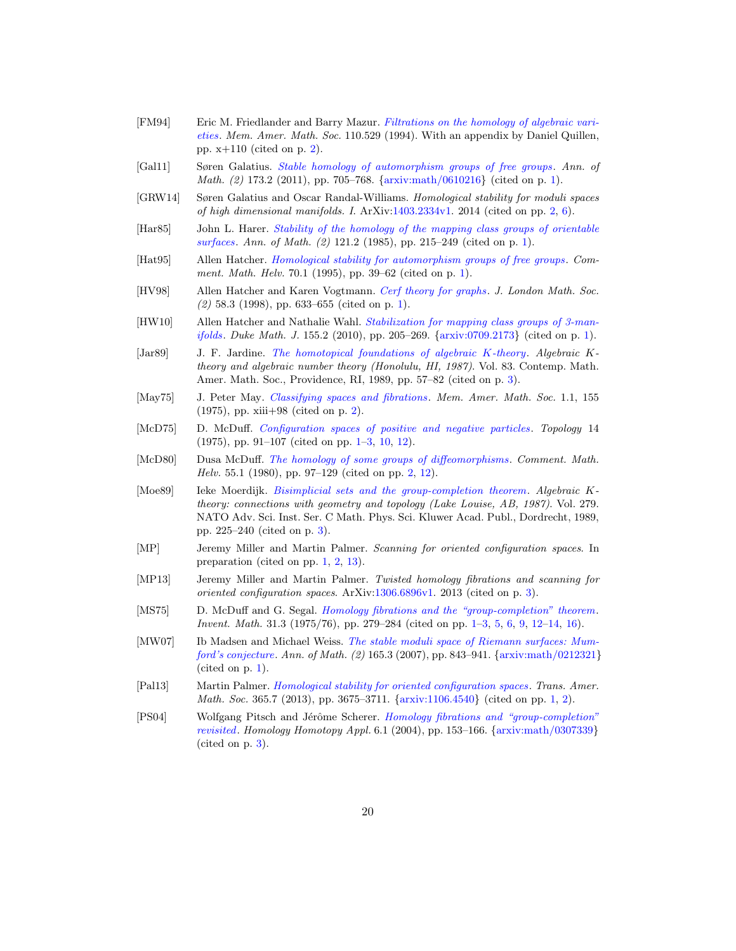- <span id="page-19-12"></span>[FM94] Eric M. Friedlander and Barry Mazur. Filtrations on the homology of algebraic varieties. Mem. Amer. Math. Soc. 110.529 (1994). With an appendix by Daniel Quillen, pp. x+110 (cited on p. [2\)](#page-1-0).
- <span id="page-19-9"></span>[Gal11] Søren Galatius. [Stable homology of automorphism groups of free groups](http://dx.doi.org/10.4007/annals.2011.173.2.3). Ann. of *Math.* (2) 173.2 (201[1\)](#page-0-0), pp. 705–768.  $\{arxiv: \text{math}/0610216\}$  (cited on p. 1).
- <span id="page-19-11"></span>[GRW14] Søren Galatius and Oscar Randal-Williams. Homological stability for moduli spaces of high dimensional manifolds. I. ArXiv[:1403.2334v1.](http://arxiv.org/abs/1403.2334v1) 2014 (cited on pp. [2,](#page-1-0) [6\)](#page-5-3).
- <span id="page-19-3"></span>[Har85] John L. Harer. Stability of the homology of the mapping class groups of orientable surfaces. Ann. of Math. (2) 121.2 (1985), pp. 215–249 (cited on p. [1\)](#page-0-0).
- <span id="page-19-4"></span>[Hat95] Allen Hatcher. [Homological stability for automorphism groups of free groups](http://dx.doi.org/10.5169/seals-52990). Comment. Math. Helv. 70.1 (1995), pp. 39–62 (cited on p. [1\)](#page-0-0).
- <span id="page-19-5"></span>[HV98] Allen Hatcher and Karen Vogtmann. [Cerf theory for graphs](http://dx.doi.org/10.1112/S0024610798006644). J. London Math. Soc.  $(2)$  58.3 (1998), pp. 633–655 (cited on p. [1\)](#page-0-0).
- <span id="page-19-6"></span>[HW10] Allen Hatcher and Nathalie Wahl. Stabilization for mapping class groups of 3-manifolds. Duke Math. J. 155.2 (2010), pp. 205–269. {[arxiv:0709.2173](http://arxiv.org/abs/0709.2173)} (cited on p. [1\)](#page-0-0).
- <span id="page-19-14"></span>[Jar89] J. F. Jardine. [The homotopical foundations of algebraic](http://dx.doi.org/10.1090/conm/083/991976) K-theory. Algebraic Ktheory and algebraic number theory (Honolulu, HI, 1987). Vol. 83. Contemp. Math. Amer. Math. Soc., Providence, RI, 1989, pp. 57–82 (cited on p. [3\)](#page-2-2).
- <span id="page-19-13"></span>[May75] J. Peter May. [Classifying spaces and fibrations](http://dx.doi.org/10.1090/memo/0155). Mem. Amer. Math. Soc. 1.1, 155 (1975), pp. xiii+98 (cited on p. [2\)](#page-1-0).
- <span id="page-19-1"></span>[McD75] D. McDuff. [Configuration spaces of positive and negative particles](http://dx.doi.org/10.1016/0040-9383(75)90038-5). Topology 14 (1975), pp. 91–107 (cited on pp. [1](#page-0-0)[–3,](#page-2-2) [10,](#page-9-2) [12\)](#page-11-2).
- <span id="page-19-10"></span>[McD80] Dusa McDuff. [The homology of some groups of diffeomorphisms](http://dx.doi.org/10.1007/BF02566677). Comment. Math. Helv. 55.1 (1980), pp. 97–129 (cited on pp. [2,](#page-1-0) [12\)](#page-11-2).
- <span id="page-19-15"></span>[Moe89] Ieke Moerdijk. [Bisimplicial sets and the group-completion theorem](http://dx.doi.org/10.1007/978-94-009-2399-7). Algebraic Ktheory: connections with geometry and topology (Lake Louise, AB, 1987). Vol. 279. NATO Adv. Sci. Inst. Ser. C Math. Phys. Sci. Kluwer Acad. Publ., Dordrecht, 1989, pp. 225–240 (cited on p. [3\)](#page-2-2).
- <span id="page-19-2"></span>[MP] Jeremy Miller and Martin Palmer. Scanning for oriented configuration spaces. In preparation (cited on pp. [1,](#page-0-0) [2,](#page-1-0) [13\)](#page-12-2).
- <span id="page-19-17"></span>[MP13] Jeremy Miller and Martin Palmer. Twisted homology fibrations and scanning for oriented configuration spaces. ArXiv[:1306.6896v1.](http://arxiv.org/abs/1306.6896v1) 2013 (cited on p. [3\)](#page-2-2).
- <span id="page-19-0"></span>[MS75] D. McDuff and G. Segal. *[Homology fibrations and the "group-completion" theorem](http://dx.doi.org/10.1007/BF01403148).* Invent. Math. 31.3 (1975/76), pp. 279–284 (cited on pp. [1](#page-0-0)[–3,](#page-2-2) [5,](#page-4-2) [6,](#page-5-3) [9,](#page-8-4) [12–](#page-11-2)[14,](#page-13-5) [16\)](#page-15-2).
- <span id="page-19-8"></span>[MW07] Ib Madsen and Michael Weiss. The stable moduli space of Riemann surfaces: Mumford's conjecture. Ann. of Math. (2) 165.3 (2007), pp. 843–941. {[arxiv:math/0212321](http://arxiv.org/abs/math/0212321)} (cited on p. [1\)](#page-0-0).
- <span id="page-19-7"></span>[Pal13] Martin Palmer. [Homological stability for oriented configuration spaces](http://dx.doi.org/10.1090/S0002-9947-2012-05743-6). Trans. Amer. Math. Soc. 365.7 (2013), pp. 3675–3711. {[arxiv:1106.4540](http://arxiv.org/abs/1106.4540)} (cited on pp. [1,](#page-0-0) [2\)](#page-1-0).
- <span id="page-19-16"></span>[PS04] Wolfgang Pitsch and Jérôme Scherer. Homology fibrations and "group-completion" revisited. Homology Homotopy Appl. 6.1 (2004), pp. 153–166. {[arxiv:math/0307339](http://arxiv.org/abs/math/0307339)} (cited on p. [3\)](#page-2-2).